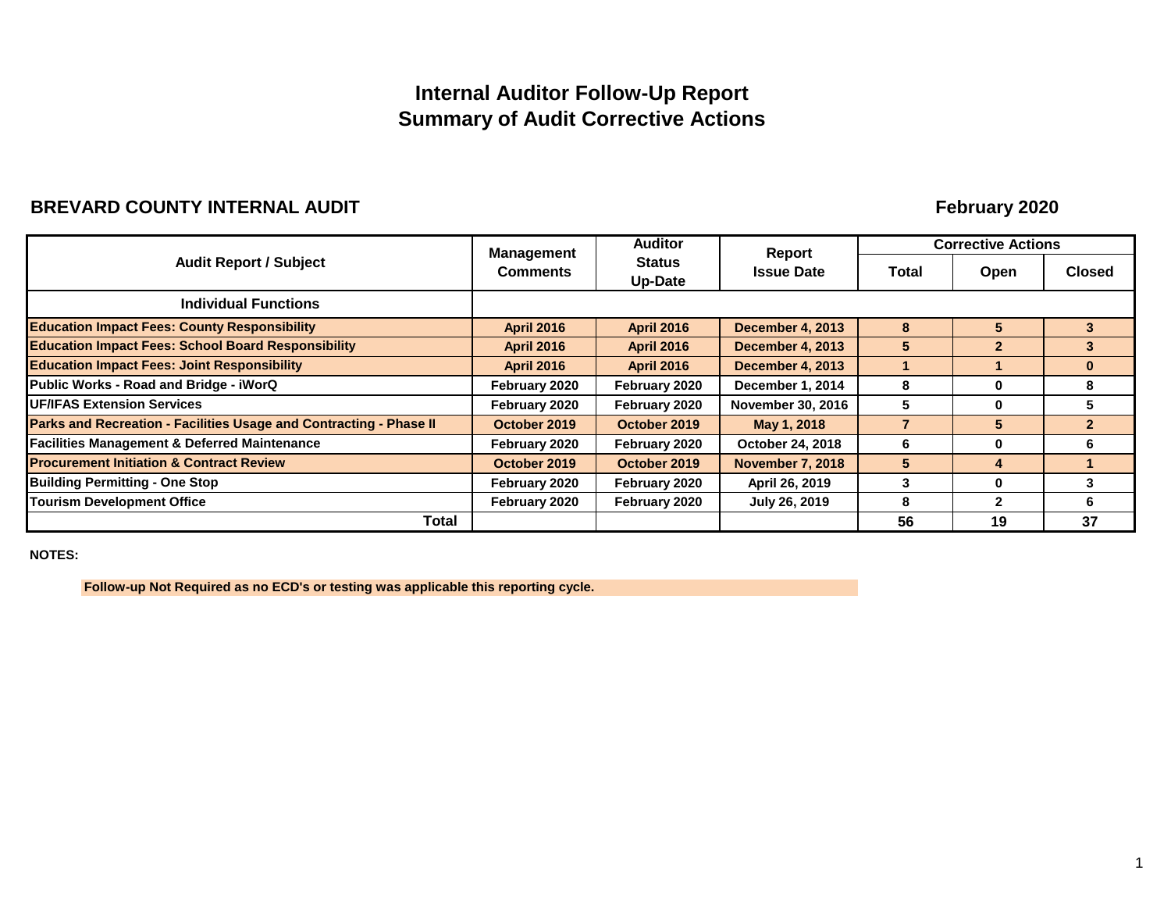# **Internal Auditor Follow-Up Report Summary of Audit Corrective Actions**

#### **BREVARD COUNTY INTERNAL AUDIT**

#### **February 2020**

|                                                                    | <b>Management</b> | <b>Auditor</b>           | Report                   |              | <b>Corrective Actions</b> |                |
|--------------------------------------------------------------------|-------------------|--------------------------|--------------------------|--------------|---------------------------|----------------|
| <b>Audit Report / Subject</b>                                      | <b>Comments</b>   | <b>Status</b><br>Up-Date | <b>Issue Date</b>        | <b>Total</b> | Open                      | <b>Closed</b>  |
| <b>Individual Functions</b>                                        |                   |                          |                          |              |                           |                |
| <b>Education Impact Fees: County Responsibility</b>                | <b>April 2016</b> | <b>April 2016</b>        | <b>December 4, 2013</b>  | 8            | 5                         | 3              |
| <b>Education Impact Fees: School Board Responsibility</b>          | <b>April 2016</b> | <b>April 2016</b>        | <b>December 4, 2013</b>  | 5            | $\overline{2}$            | 3              |
| <b>Education Impact Fees: Joint Responsibility</b>                 | <b>April 2016</b> | <b>April 2016</b>        | <b>December 4, 2013</b>  |              |                           | $\mathbf{0}$   |
| Public Works - Road and Bridge - iWorQ                             | February 2020     | February 2020            | December 1, 2014         | 8            | $\bf{0}$                  | 8              |
| <b>UF/IFAS Extension Services</b>                                  | February 2020     | February 2020            | <b>November 30, 2016</b> | 5            | $\bf{0}$                  | 5              |
| Parks and Recreation - Facilities Usage and Contracting - Phase II | October 2019      | October 2019             | May 1, 2018              |              | 5                         | $\overline{2}$ |
| <b>Facilities Management &amp; Deferred Maintenance</b>            | February 2020     | February 2020            | October 24, 2018         | 6            | $\bf{0}$                  | 6              |
| <b>Procurement Initiation &amp; Contract Review</b>                | October 2019      | October 2019             | <b>November 7, 2018</b>  | 5            | 4                         |                |
| <b>Building Permitting - One Stop</b>                              | February 2020     | February 2020            | April 26, 2019           | 3            | $\bf{0}$                  | 3              |
| <b>Tourism Development Office</b>                                  | February 2020     | February 2020            | July 26, 2019            | 8            | 2                         | 6              |
| <b>Total</b>                                                       |                   |                          |                          | 56           | 19                        | 37             |

**NOTES:**

**Follow-up Not Required as no ECD's or testing was applicable this reporting cycle.**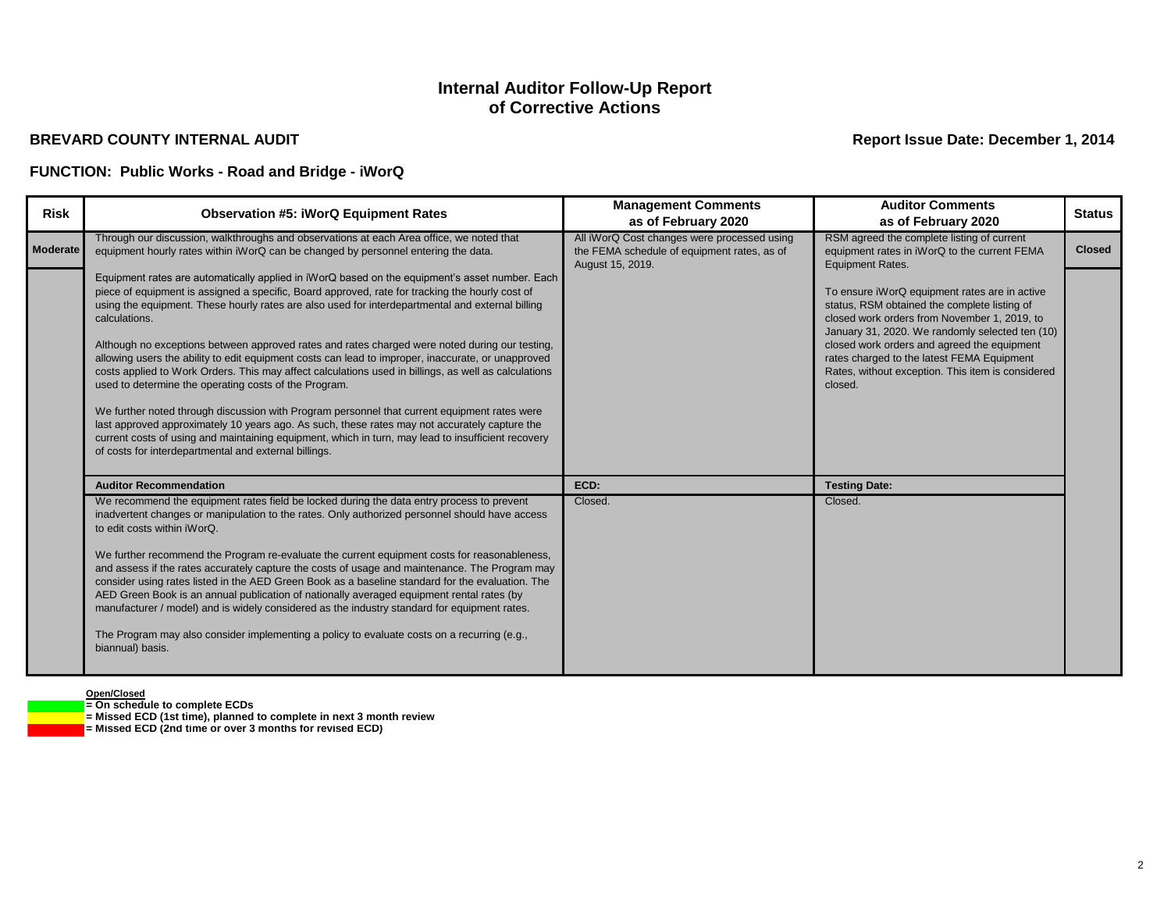# **BREVARD COUNTY INTERNAL AUDIT Report Issue Date: December 1, 2014**

### **FUNCTION: Public Works - Road and Bridge - iWorQ**

| <b>Risk</b>     | <b>Observation #5: iWorQ Equipment Rates</b>                                                                                                                                                                                                                                                                                                                                                                                                                                                                                                                                                                                                                                                                                                                                                                                                                                                                                                                                                                                                                    | <b>Management Comments</b><br>as of February 2020                                                              | <b>Auditor Comments</b><br>as of February 2020                                                                                                                                                                                                                                                                                                                | <b>Status</b> |
|-----------------|-----------------------------------------------------------------------------------------------------------------------------------------------------------------------------------------------------------------------------------------------------------------------------------------------------------------------------------------------------------------------------------------------------------------------------------------------------------------------------------------------------------------------------------------------------------------------------------------------------------------------------------------------------------------------------------------------------------------------------------------------------------------------------------------------------------------------------------------------------------------------------------------------------------------------------------------------------------------------------------------------------------------------------------------------------------------|----------------------------------------------------------------------------------------------------------------|---------------------------------------------------------------------------------------------------------------------------------------------------------------------------------------------------------------------------------------------------------------------------------------------------------------------------------------------------------------|---------------|
| <b>Moderate</b> | Through our discussion, walkthroughs and observations at each Area office, we noted that<br>equipment hourly rates within iWorQ can be changed by personnel entering the data.                                                                                                                                                                                                                                                                                                                                                                                                                                                                                                                                                                                                                                                                                                                                                                                                                                                                                  | All iWorQ Cost changes were processed using<br>the FEMA schedule of equipment rates, as of<br>August 15, 2019. | RSM agreed the complete listing of current<br>equipment rates in iWorQ to the current FEMA<br><b>Equipment Rates.</b>                                                                                                                                                                                                                                         | <b>Closed</b> |
|                 | Equipment rates are automatically applied in iWorQ based on the equipment's asset number. Each<br>piece of equipment is assigned a specific, Board approved, rate for tracking the hourly cost of<br>using the equipment. These hourly rates are also used for interdepartmental and external billing<br>calculations.<br>Although no exceptions between approved rates and rates charged were noted during our testing,<br>allowing users the ability to edit equipment costs can lead to improper, inaccurate, or unapproved<br>costs applied to Work Orders. This may affect calculations used in billings, as well as calculations<br>used to determine the operating costs of the Program.<br>We further noted through discussion with Program personnel that current equipment rates were<br>last approved approximately 10 years ago. As such, these rates may not accurately capture the<br>current costs of using and maintaining equipment, which in turn, may lead to insufficient recovery<br>of costs for interdepartmental and external billings. |                                                                                                                | To ensure iWorQ equipment rates are in active<br>status, RSM obtained the complete listing of<br>closed work orders from November 1, 2019, to<br>January 31, 2020. We randomly selected ten (10)<br>closed work orders and agreed the equipment<br>rates charged to the latest FEMA Equipment<br>Rates, without exception. This item is considered<br>closed. |               |
|                 | <b>Auditor Recommendation</b>                                                                                                                                                                                                                                                                                                                                                                                                                                                                                                                                                                                                                                                                                                                                                                                                                                                                                                                                                                                                                                   | ECD:                                                                                                           | <b>Testing Date:</b>                                                                                                                                                                                                                                                                                                                                          |               |
|                 | We recommend the equipment rates field be locked during the data entry process to prevent<br>inadvertent changes or manipulation to the rates. Only authorized personnel should have access<br>to edit costs within iWorQ.<br>We further recommend the Program re-evaluate the current equipment costs for reasonableness,<br>and assess if the rates accurately capture the costs of usage and maintenance. The Program may<br>consider using rates listed in the AED Green Book as a baseline standard for the evaluation. The<br>AED Green Book is an annual publication of nationally averaged equipment rental rates (by<br>manufacturer / model) and is widely considered as the industry standard for equipment rates.<br>The Program may also consider implementing a policy to evaluate costs on a recurring (e.g.,<br>biannual) basis.                                                                                                                                                                                                                | Closed.                                                                                                        | Closed.                                                                                                                                                                                                                                                                                                                                                       |               |

**Open/Closed**

**= On schedule to complete ECDs**

**= Missed ECD (1st time), planned to complete in next 3 month review**

**= Missed ECD (2nd time or over 3 months for revised ECD)**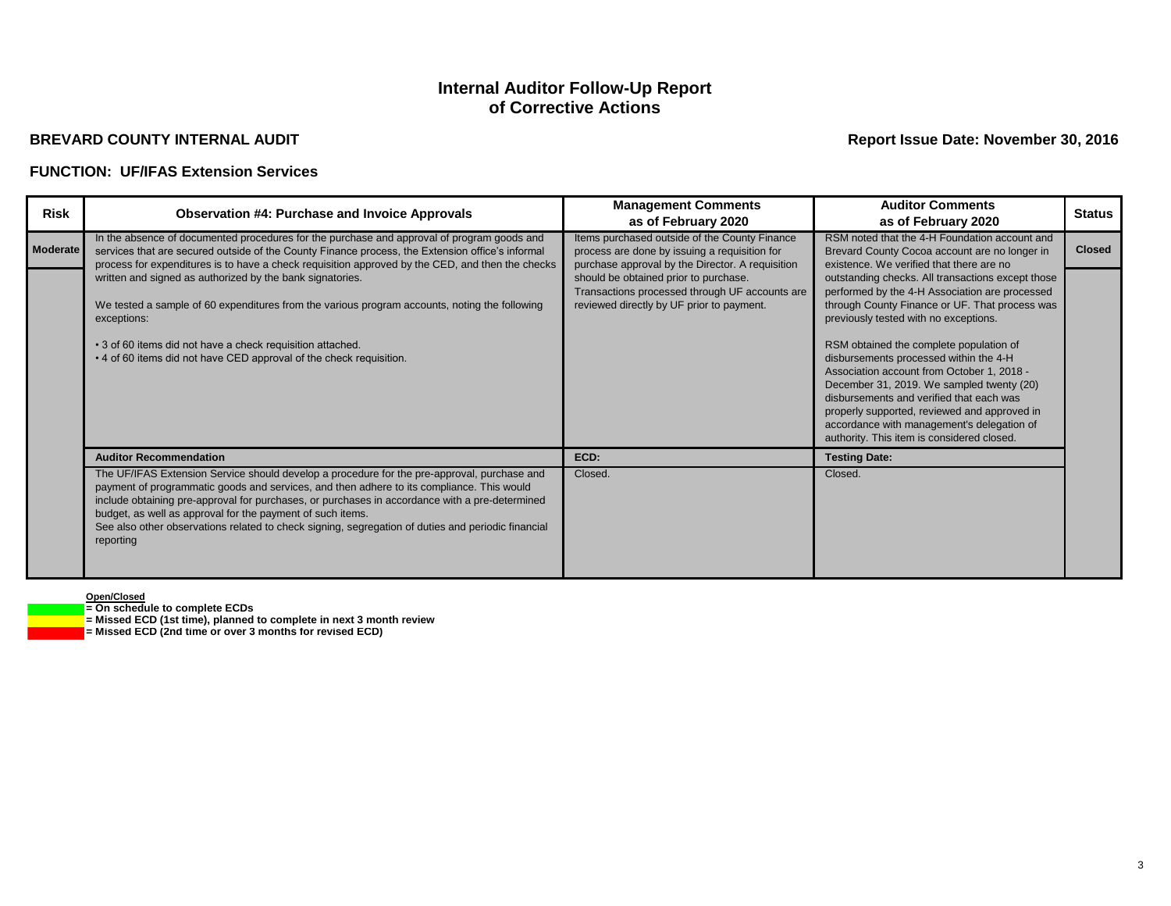# **BREVARD COUNTY INTERNAL AUDIT Report Issue Date: November 30, 2016**

#### **FUNCTION: UF/IFAS Extension Services**

| <b>Risk</b>     | <b>Observation #4: Purchase and Invoice Approvals</b>                                                                                                                                                                                                                                                                                                                                                                                                                                                                                                                                                                | <b>Management Comments</b><br>as of February 2020                                                                                                                                                                                                                                          | <b>Auditor Comments</b><br>as of February 2020                                                                                                                                                                                                                                                                                                                                                                                                                                                                                                                                                                                                                                                                       | <b>Status</b> |
|-----------------|----------------------------------------------------------------------------------------------------------------------------------------------------------------------------------------------------------------------------------------------------------------------------------------------------------------------------------------------------------------------------------------------------------------------------------------------------------------------------------------------------------------------------------------------------------------------------------------------------------------------|--------------------------------------------------------------------------------------------------------------------------------------------------------------------------------------------------------------------------------------------------------------------------------------------|----------------------------------------------------------------------------------------------------------------------------------------------------------------------------------------------------------------------------------------------------------------------------------------------------------------------------------------------------------------------------------------------------------------------------------------------------------------------------------------------------------------------------------------------------------------------------------------------------------------------------------------------------------------------------------------------------------------------|---------------|
| <b>Moderate</b> | In the absence of documented procedures for the purchase and approval of program goods and<br>services that are secured outside of the County Finance process, the Extension office's informal<br>process for expenditures is to have a check requisition approved by the CED, and then the checks<br>written and signed as authorized by the bank signatories.<br>We tested a sample of 60 expenditures from the various program accounts, noting the following<br>exceptions:<br>• 3 of 60 items did not have a check requisition attached.<br>• 4 of 60 items did not have CED approval of the check requisition. | Items purchased outside of the County Finance<br>process are done by issuing a requisition for<br>purchase approval by the Director. A requisition<br>should be obtained prior to purchase.<br>Transactions processed through UF accounts are<br>reviewed directly by UF prior to payment. | RSM noted that the 4-H Foundation account and<br>Brevard County Cocoa account are no longer in<br>existence. We verified that there are no<br>outstanding checks. All transactions except those<br>performed by the 4-H Association are processed<br>through County Finance or UF. That process was<br>previously tested with no exceptions.<br>RSM obtained the complete population of<br>disbursements processed within the 4-H<br>Association account from October 1, 2018 -<br>December 31, 2019. We sampled twenty (20)<br>disbursements and verified that each was<br>properly supported, reviewed and approved in<br>accordance with management's delegation of<br>authority. This item is considered closed. | <b>Closed</b> |
|                 | <b>Auditor Recommendation</b>                                                                                                                                                                                                                                                                                                                                                                                                                                                                                                                                                                                        | ECD:                                                                                                                                                                                                                                                                                       | <b>Testing Date:</b>                                                                                                                                                                                                                                                                                                                                                                                                                                                                                                                                                                                                                                                                                                 |               |
|                 | The UF/IFAS Extension Service should develop a procedure for the pre-approval, purchase and<br>payment of programmatic goods and services, and then adhere to its compliance. This would<br>include obtaining pre-approval for purchases, or purchases in accordance with a pre-determined<br>budget, as well as approval for the payment of such items.<br>See also other observations related to check signing, segregation of duties and periodic financial<br>reporting                                                                                                                                          | Closed.                                                                                                                                                                                                                                                                                    | Closed.                                                                                                                                                                                                                                                                                                                                                                                                                                                                                                                                                                                                                                                                                                              |               |

#### **Open/Closed**

**= On schedule to complete ECDs**

**= Missed ECD (1st time), planned to complete in next 3 month review**

**= Missed ECD (2nd time or over 3 months for revised ECD)**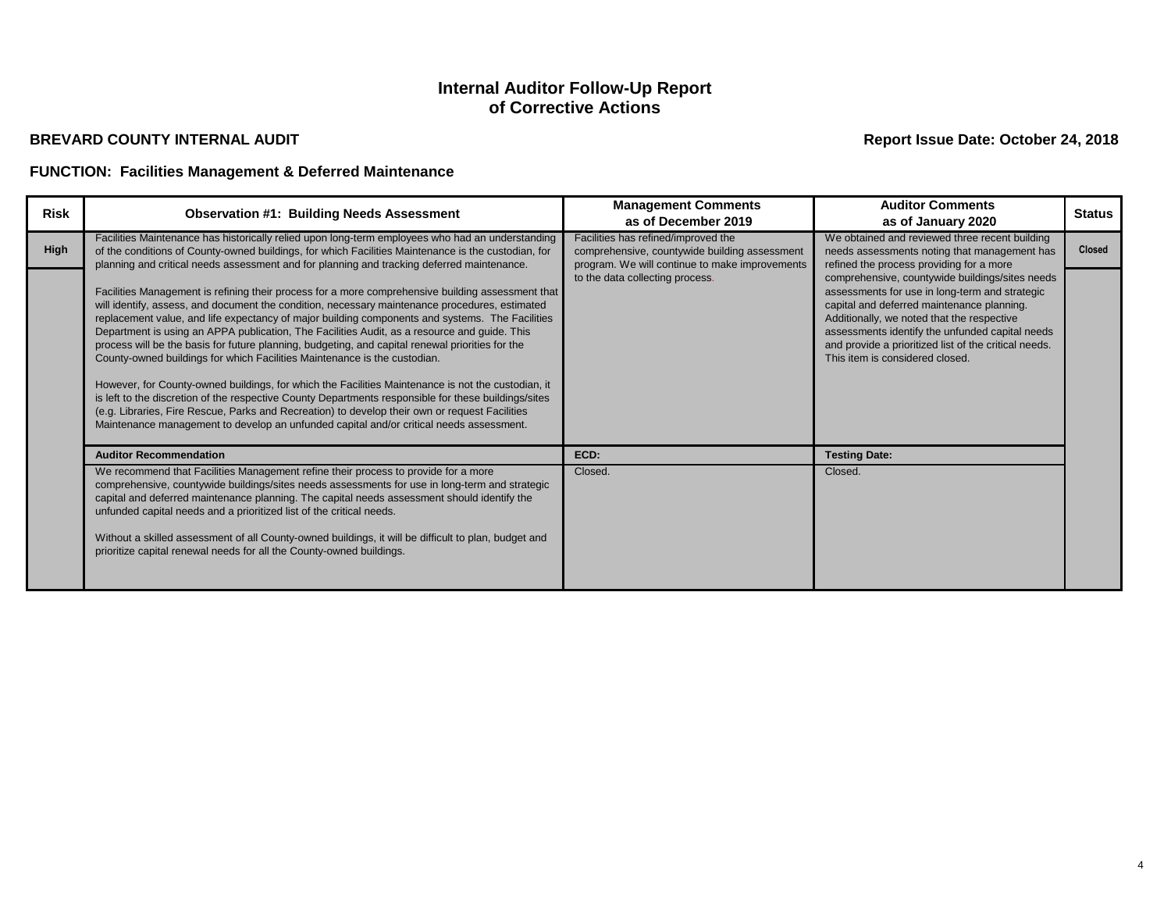# **BREVARD COUNTY INTERNAL AUDIT Report Issue Date: October 24, 2018**

| <b>Risk</b> | <b>Observation #1: Building Needs Assessment</b>                                                                                                                                                                                                                                                                                                                                                                                                                                                                                                                                                                                                                                                                                                                                                                                                                                                                                                                                                   | <b>Management Comments</b><br>as of December 2019                                                                                      | <b>Auditor Comments</b><br>as of January 2020                                                                                                                                                                                                                                                                                                | <b>Status</b> |
|-------------|----------------------------------------------------------------------------------------------------------------------------------------------------------------------------------------------------------------------------------------------------------------------------------------------------------------------------------------------------------------------------------------------------------------------------------------------------------------------------------------------------------------------------------------------------------------------------------------------------------------------------------------------------------------------------------------------------------------------------------------------------------------------------------------------------------------------------------------------------------------------------------------------------------------------------------------------------------------------------------------------------|----------------------------------------------------------------------------------------------------------------------------------------|----------------------------------------------------------------------------------------------------------------------------------------------------------------------------------------------------------------------------------------------------------------------------------------------------------------------------------------------|---------------|
| High        | Facilities Maintenance has historically relied upon long-term employees who had an understanding<br>of the conditions of County-owned buildings, for which Facilities Maintenance is the custodian, for<br>planning and critical needs assessment and for planning and tracking deferred maintenance.                                                                                                                                                                                                                                                                                                                                                                                                                                                                                                                                                                                                                                                                                              | Facilities has refined/improved the<br>comprehensive, countywide building assessment<br>program. We will continue to make improvements | We obtained and reviewed three recent building<br>needs assessments noting that management has<br>refined the process providing for a more                                                                                                                                                                                                   | <b>Closed</b> |
|             | Facilities Management is refining their process for a more comprehensive building assessment that<br>will identify, assess, and document the condition, necessary maintenance procedures, estimated<br>replacement value, and life expectancy of major building components and systems. The Facilities<br>Department is using an APPA publication, The Facilities Audit, as a resource and guide. This<br>process will be the basis for future planning, budgeting, and capital renewal priorities for the<br>County-owned buildings for which Facilities Maintenance is the custodian.<br>However, for County-owned buildings, for which the Facilities Maintenance is not the custodian, it<br>is left to the discretion of the respective County Departments responsible for these buildings/sites<br>(e.g. Libraries, Fire Rescue, Parks and Recreation) to develop their own or request Facilities<br>Maintenance management to develop an unfunded capital and/or critical needs assessment. | to the data collecting process.                                                                                                        | comprehensive, countywide buildings/sites needs<br>assessments for use in long-term and strategic<br>capital and deferred maintenance planning.<br>Additionally, we noted that the respective<br>assessments identify the unfunded capital needs<br>and provide a prioritized list of the critical needs.<br>This item is considered closed. |               |
|             | <b>Auditor Recommendation</b>                                                                                                                                                                                                                                                                                                                                                                                                                                                                                                                                                                                                                                                                                                                                                                                                                                                                                                                                                                      | ECD:                                                                                                                                   | <b>Testing Date:</b>                                                                                                                                                                                                                                                                                                                         |               |
|             | We recommend that Facilities Management refine their process to provide for a more<br>comprehensive, countywide buildings/sites needs assessments for use in long-term and strategic<br>capital and deferred maintenance planning. The capital needs assessment should identify the<br>unfunded capital needs and a prioritized list of the critical needs.<br>Without a skilled assessment of all County-owned buildings, it will be difficult to plan, budget and<br>prioritize capital renewal needs for all the County-owned buildings.                                                                                                                                                                                                                                                                                                                                                                                                                                                        | Closed.                                                                                                                                | Closed.                                                                                                                                                                                                                                                                                                                                      |               |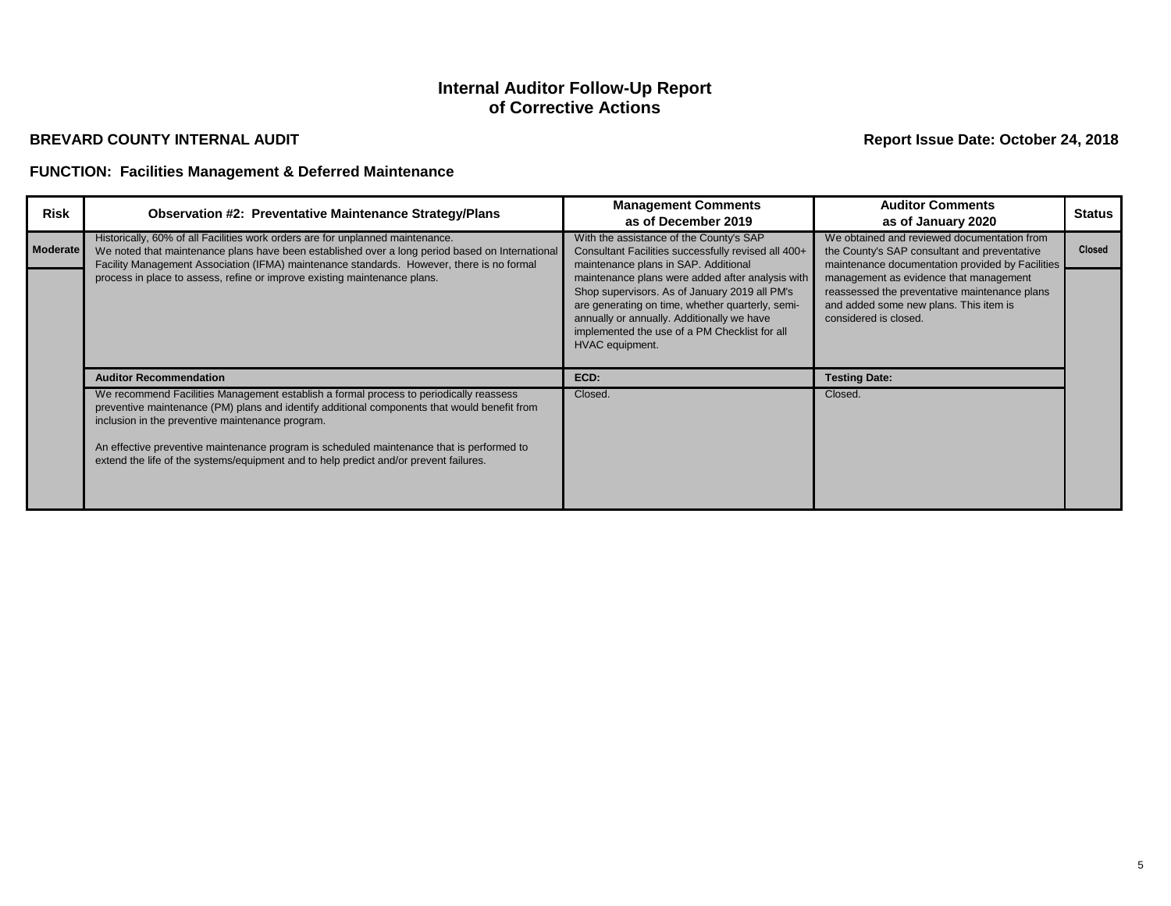# **BREVARD COUNTY INTERNAL AUDIT Report Issue Date: October 24, 2018**

| <b>Risk</b> | <b>Observation #2: Preventative Maintenance Strategy/Plans</b>                                                                                                                                                                                                                                                                                                                                                                   | <b>Management Comments</b><br>as of December 2019                                                                                                                                                                                                                                                                                                                                                                 | <b>Auditor Comments</b><br>as of January 2020                                                                                                                                                                                                                                                                 | <b>Status</b> |
|-------------|----------------------------------------------------------------------------------------------------------------------------------------------------------------------------------------------------------------------------------------------------------------------------------------------------------------------------------------------------------------------------------------------------------------------------------|-------------------------------------------------------------------------------------------------------------------------------------------------------------------------------------------------------------------------------------------------------------------------------------------------------------------------------------------------------------------------------------------------------------------|---------------------------------------------------------------------------------------------------------------------------------------------------------------------------------------------------------------------------------------------------------------------------------------------------------------|---------------|
| Moderate    | Historically, 60% of all Facilities work orders are for unplanned maintenance.<br>We noted that maintenance plans have been established over a long period based on International<br>Facility Management Association (IFMA) maintenance standards. However, there is no formal<br>process in place to assess, refine or improve existing maintenance plans.                                                                      | With the assistance of the County's SAP<br>Consultant Facilities successfully revised all 400+<br>maintenance plans in SAP. Additional<br>maintenance plans were added after analysis with<br>Shop supervisors. As of January 2019 all PM's<br>are generating on time, whether quarterly, semi-<br>annually or annually. Additionally we have<br>implemented the use of a PM Checklist for all<br>HVAC equipment. | We obtained and reviewed documentation from<br>the County's SAP consultant and preventative<br>maintenance documentation provided by Facilities<br>management as evidence that management<br>reassessed the preventative maintenance plans<br>and added some new plans. This item is<br>considered is closed. | <b>Closed</b> |
|             | <b>Auditor Recommendation</b>                                                                                                                                                                                                                                                                                                                                                                                                    | ECD:                                                                                                                                                                                                                                                                                                                                                                                                              | <b>Testing Date:</b>                                                                                                                                                                                                                                                                                          |               |
|             | We recommend Facilities Management establish a formal process to periodically reassess<br>preventive maintenance (PM) plans and identify additional components that would benefit from<br>inclusion in the preventive maintenance program.<br>An effective preventive maintenance program is scheduled maintenance that is performed to<br>extend the life of the systems/equipment and to help predict and/or prevent failures. | Closed.                                                                                                                                                                                                                                                                                                                                                                                                           | Closed.                                                                                                                                                                                                                                                                                                       |               |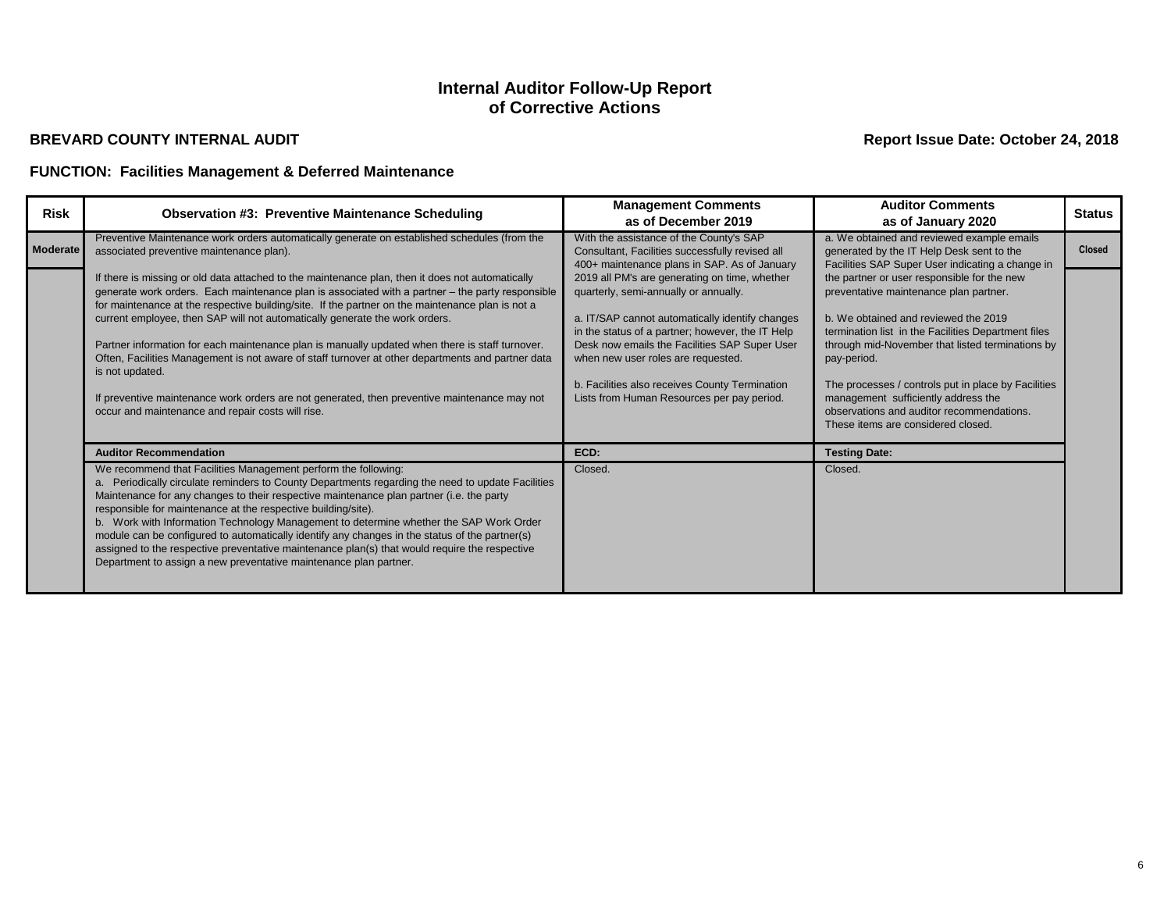# **BREVARD COUNTY INTERNAL AUDIT Report Issue Date: October 24, 2018**

| <b>Risk</b> | <b>Observation #3: Preventive Maintenance Scheduling</b>                                                                                                                                                                                                                                                                                                                                                                                                                                                                                                                                                                                                                                           | <b>Management Comments</b><br>as of December 2019                                                                                          | <b>Auditor Comments</b><br>as of January 2020                                                                                                                                 | <b>Status</b> |
|-------------|----------------------------------------------------------------------------------------------------------------------------------------------------------------------------------------------------------------------------------------------------------------------------------------------------------------------------------------------------------------------------------------------------------------------------------------------------------------------------------------------------------------------------------------------------------------------------------------------------------------------------------------------------------------------------------------------------|--------------------------------------------------------------------------------------------------------------------------------------------|-------------------------------------------------------------------------------------------------------------------------------------------------------------------------------|---------------|
| Moderate    | Preventive Maintenance work orders automatically generate on established schedules (from the<br>associated preventive maintenance plan).                                                                                                                                                                                                                                                                                                                                                                                                                                                                                                                                                           | With the assistance of the County's SAP<br>Consultant, Facilities successfully revised all<br>400+ maintenance plans in SAP. As of January | a. We obtained and reviewed example emails<br>generated by the IT Help Desk sent to the<br>Facilities SAP Super User indicating a change in                                   | <b>Closed</b> |
|             | If there is missing or old data attached to the maintenance plan, then it does not automatically<br>generate work orders. Each maintenance plan is associated with a partner - the party responsible<br>for maintenance at the respective building/site. If the partner on the maintenance plan is not a<br>current employee, then SAP will not automatically generate the work orders.                                                                                                                                                                                                                                                                                                            | 2019 all PM's are generating on time, whether<br>quarterly, semi-annually or annually.<br>a. IT/SAP cannot automatically identify changes  | the partner or user responsible for the new<br>preventative maintenance plan partner.<br>b. We obtained and reviewed the 2019                                                 |               |
|             | Partner information for each maintenance plan is manually updated when there is staff turnover.<br>Often, Facilities Management is not aware of staff turnover at other departments and partner data<br>is not updated.                                                                                                                                                                                                                                                                                                                                                                                                                                                                            | in the status of a partner; however, the IT Help<br>Desk now emails the Facilities SAP Super User<br>when new user roles are requested.    | termination list in the Facilities Department files<br>through mid-November that listed terminations by<br>pay-period.                                                        |               |
|             | If preventive maintenance work orders are not generated, then preventive maintenance may not<br>occur and maintenance and repair costs will rise.                                                                                                                                                                                                                                                                                                                                                                                                                                                                                                                                                  | b. Facilities also receives County Termination<br>Lists from Human Resources per pay period.                                               | The processes / controls put in place by Facilities<br>management sufficiently address the<br>observations and auditor recommendations.<br>These items are considered closed. |               |
|             | <b>Auditor Recommendation</b>                                                                                                                                                                                                                                                                                                                                                                                                                                                                                                                                                                                                                                                                      | ECD:                                                                                                                                       | <b>Testing Date:</b>                                                                                                                                                          |               |
|             | We recommend that Facilities Management perform the following:<br>a. Periodically circulate reminders to County Departments regarding the need to update Facilities<br>Maintenance for any changes to their respective maintenance plan partner (i.e. the party<br>responsible for maintenance at the respective building/site).<br>b. Work with Information Technology Management to determine whether the SAP Work Order<br>module can be configured to automatically identify any changes in the status of the partner(s)<br>assigned to the respective preventative maintenance plan(s) that would require the respective<br>Department to assign a new preventative maintenance plan partner. | Closed.                                                                                                                                    | Closed.                                                                                                                                                                       |               |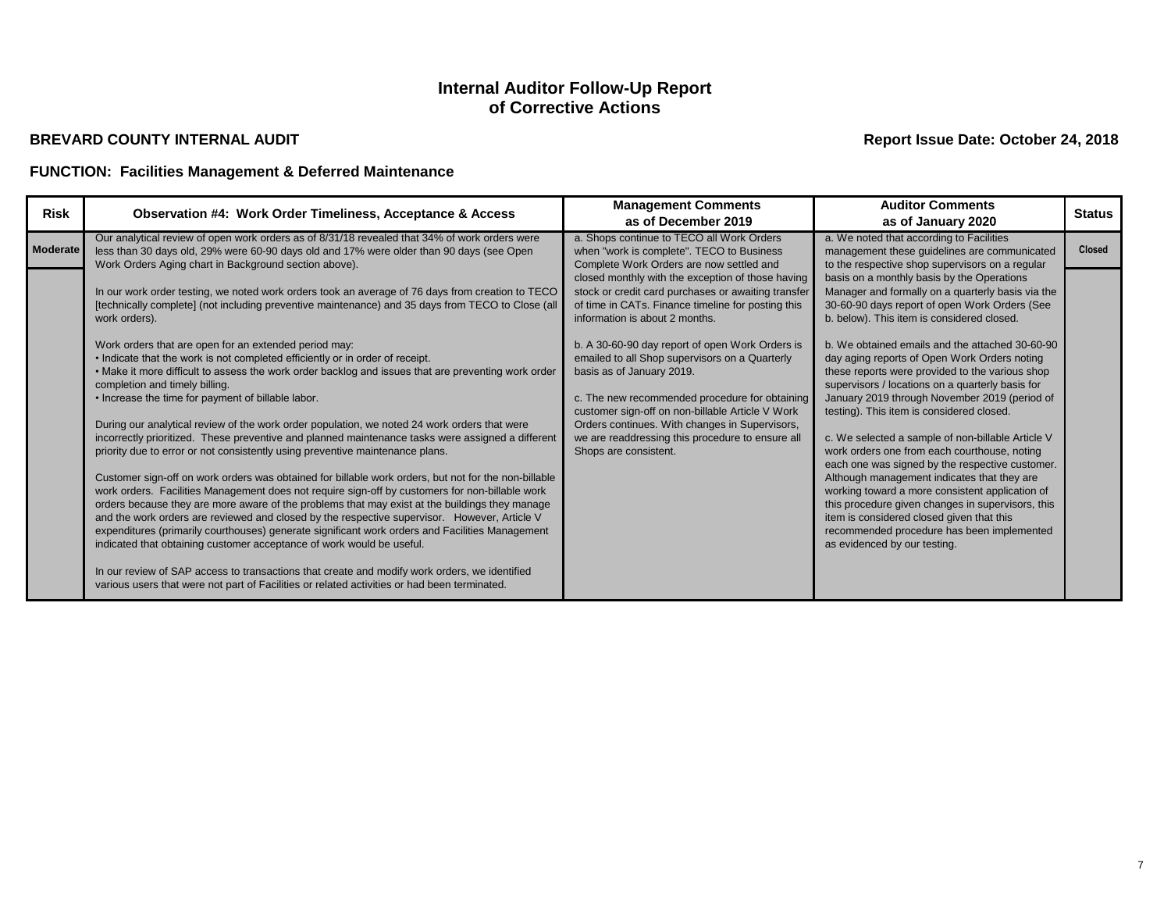# **BREVARD COUNTY INTERNAL AUDIT Report Issue Date: October 24, 2018**

| <b>Risk</b>     | <b>Observation #4: Work Order Timeliness, Acceptance &amp; Access</b>                                                                                                                                                                                                                                                                                                                                                                                                                                                                                                                                                                                                                                                                                                                                                                                                                                                                                                                                                                                                                                                                                                                                                                                                                                                                                                                                                                                                                                                                                                                                                                                                                                                                                                                                                                                                                                 | <b>Management Comments</b><br>as of December 2019                                                                                                                                                                                                                                                                                                                                                                                                                                                                                                                                                                                                                                                             | <b>Auditor Comments</b><br>as of January 2020                                                                                                                                                                                                                                                                                                                                                                                                                                                                                                                                                                                                                                                                                                                                                                                                                                                                                                                                                                                                                                                   | <b>Status</b> |
|-----------------|-------------------------------------------------------------------------------------------------------------------------------------------------------------------------------------------------------------------------------------------------------------------------------------------------------------------------------------------------------------------------------------------------------------------------------------------------------------------------------------------------------------------------------------------------------------------------------------------------------------------------------------------------------------------------------------------------------------------------------------------------------------------------------------------------------------------------------------------------------------------------------------------------------------------------------------------------------------------------------------------------------------------------------------------------------------------------------------------------------------------------------------------------------------------------------------------------------------------------------------------------------------------------------------------------------------------------------------------------------------------------------------------------------------------------------------------------------------------------------------------------------------------------------------------------------------------------------------------------------------------------------------------------------------------------------------------------------------------------------------------------------------------------------------------------------------------------------------------------------------------------------------------------------|---------------------------------------------------------------------------------------------------------------------------------------------------------------------------------------------------------------------------------------------------------------------------------------------------------------------------------------------------------------------------------------------------------------------------------------------------------------------------------------------------------------------------------------------------------------------------------------------------------------------------------------------------------------------------------------------------------------|-------------------------------------------------------------------------------------------------------------------------------------------------------------------------------------------------------------------------------------------------------------------------------------------------------------------------------------------------------------------------------------------------------------------------------------------------------------------------------------------------------------------------------------------------------------------------------------------------------------------------------------------------------------------------------------------------------------------------------------------------------------------------------------------------------------------------------------------------------------------------------------------------------------------------------------------------------------------------------------------------------------------------------------------------------------------------------------------------|---------------|
| <b>Moderate</b> | Our analytical review of open work orders as of 8/31/18 revealed that 34% of work orders were<br>less than 30 days old, 29% were 60-90 days old and 17% were older than 90 days (see Open<br>Work Orders Aging chart in Background section above).<br>In our work order testing, we noted work orders took an average of 76 days from creation to TECO<br>[technically complete] (not including preventive maintenance) and 35 days from TECO to Close (all<br>work orders).<br>Work orders that are open for an extended period may:<br>. Indicate that the work is not completed efficiently or in order of receipt.<br>• Make it more difficult to assess the work order backlog and issues that are preventing work order<br>completion and timely billing.<br>. Increase the time for payment of billable labor.<br>During our analytical review of the work order population, we noted 24 work orders that were<br>incorrectly prioritized. These preventive and planned maintenance tasks were assigned a different<br>priority due to error or not consistently using preventive maintenance plans.<br>Customer sign-off on work orders was obtained for billable work orders, but not for the non-billable<br>work orders. Facilities Management does not require sign-off by customers for non-billable work<br>orders because they are more aware of the problems that may exist at the buildings they manage<br>and the work orders are reviewed and closed by the respective supervisor. However, Article V<br>expenditures (primarily courthouses) generate significant work orders and Facilities Management<br>indicated that obtaining customer acceptance of work would be useful.<br>In our review of SAP access to transactions that create and modify work orders, we identified<br>various users that were not part of Facilities or related activities or had been terminated. | a. Shops continue to TECO all Work Orders<br>when "work is complete". TECO to Business<br>Complete Work Orders are now settled and<br>closed monthly with the exception of those having<br>stock or credit card purchases or awaiting transfer<br>of time in CATs. Finance timeline for posting this<br>information is about 2 months.<br>b. A 30-60-90 day report of open Work Orders is<br>emailed to all Shop supervisors on a Quarterly<br>basis as of January 2019.<br>c. The new recommended procedure for obtaining<br>customer sign-off on non-billable Article V Work<br>Orders continues. With changes in Supervisors,<br>we are readdressing this procedure to ensure all<br>Shops are consistent. | a. We noted that according to Facilities<br>management these guidelines are communicated<br>to the respective shop supervisors on a regular<br>basis on a monthly basis by the Operations<br>Manager and formally on a quarterly basis via the<br>30-60-90 days report of open Work Orders (See<br>b. below). This item is considered closed.<br>b. We obtained emails and the attached 30-60-90<br>day aging reports of Open Work Orders noting<br>these reports were provided to the various shop<br>supervisors / locations on a quarterly basis for<br>January 2019 through November 2019 (period of<br>testing). This item is considered closed.<br>c. We selected a sample of non-billable Article V<br>work orders one from each courthouse, noting<br>each one was signed by the respective customer.<br>Although management indicates that they are<br>working toward a more consistent application of<br>this procedure given changes in supervisors, this<br>item is considered closed given that this<br>recommended procedure has been implemented<br>as evidenced by our testing. | <b>Closed</b> |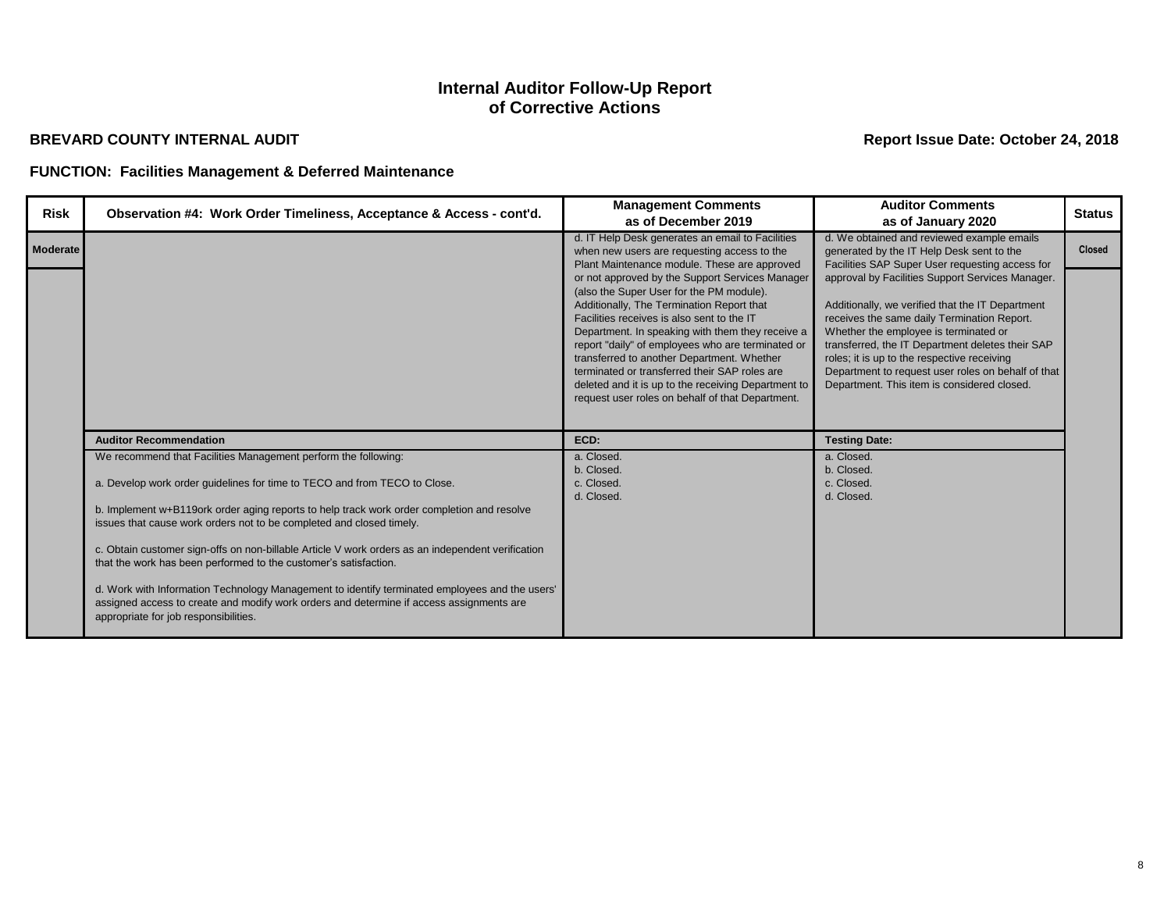# **BREVARD COUNTY INTERNAL AUDIT Report Issue Date: October 24, 2018**

| <b>Risk</b>     | Observation #4: Work Order Timeliness, Acceptance & Access - cont'd.                                                                                                                                                                | <b>Management Comments</b><br>as of December 2019                                                                                                                                                                                                           | <b>Auditor Comments</b><br>as of January 2020                                                                                                                                                        | <b>Status</b> |
|-----------------|-------------------------------------------------------------------------------------------------------------------------------------------------------------------------------------------------------------------------------------|-------------------------------------------------------------------------------------------------------------------------------------------------------------------------------------------------------------------------------------------------------------|------------------------------------------------------------------------------------------------------------------------------------------------------------------------------------------------------|---------------|
| <b>Moderate</b> |                                                                                                                                                                                                                                     | d. IT Help Desk generates an email to Facilities<br>when new users are requesting access to the<br>Plant Maintenance module. These are approved                                                                                                             | d. We obtained and reviewed example emails<br>generated by the IT Help Desk sent to the<br>Facilities SAP Super User requesting access for                                                           | <b>Closed</b> |
|                 |                                                                                                                                                                                                                                     | or not approved by the Support Services Manager<br>(also the Super User for the PM module).<br>Additionally, The Termination Report that                                                                                                                    | approval by Facilities Support Services Manager.<br>Additionally, we verified that the IT Department                                                                                                 |               |
|                 |                                                                                                                                                                                                                                     | Facilities receives is also sent to the IT<br>Department. In speaking with them they receive a                                                                                                                                                              | receives the same daily Termination Report.<br>Whether the employee is terminated or                                                                                                                 |               |
|                 |                                                                                                                                                                                                                                     | report "daily" of employees who are terminated or<br>transferred to another Department. Whether<br>terminated or transferred their SAP roles are<br>deleted and it is up to the receiving Department to<br>request user roles on behalf of that Department. | transferred, the IT Department deletes their SAP<br>roles; it is up to the respective receiving<br>Department to request user roles on behalf of that<br>Department. This item is considered closed. |               |
|                 |                                                                                                                                                                                                                                     |                                                                                                                                                                                                                                                             |                                                                                                                                                                                                      |               |
|                 | <b>Auditor Recommendation</b>                                                                                                                                                                                                       | ECD:                                                                                                                                                                                                                                                        | <b>Testing Date:</b>                                                                                                                                                                                 |               |
|                 | We recommend that Facilities Management perform the following:                                                                                                                                                                      | a. Closed.<br>b. Closed.                                                                                                                                                                                                                                    | a. Closed.<br>b. Closed.                                                                                                                                                                             |               |
|                 | a. Develop work order guidelines for time to TECO and from TECO to Close.                                                                                                                                                           | c. Closed.<br>d. Closed.                                                                                                                                                                                                                                    | c. Closed.<br>d. Closed.                                                                                                                                                                             |               |
|                 | b. Implement w+B119ork order aging reports to help track work order completion and resolve<br>issues that cause work orders not to be completed and closed timely.                                                                  |                                                                                                                                                                                                                                                             |                                                                                                                                                                                                      |               |
|                 | c. Obtain customer sign-offs on non-billable Article V work orders as an independent verification<br>that the work has been performed to the customer's satisfaction.                                                               |                                                                                                                                                                                                                                                             |                                                                                                                                                                                                      |               |
|                 | d. Work with Information Technology Management to identify terminated employees and the users'<br>assigned access to create and modify work orders and determine if access assignments are<br>appropriate for job responsibilities. |                                                                                                                                                                                                                                                             |                                                                                                                                                                                                      |               |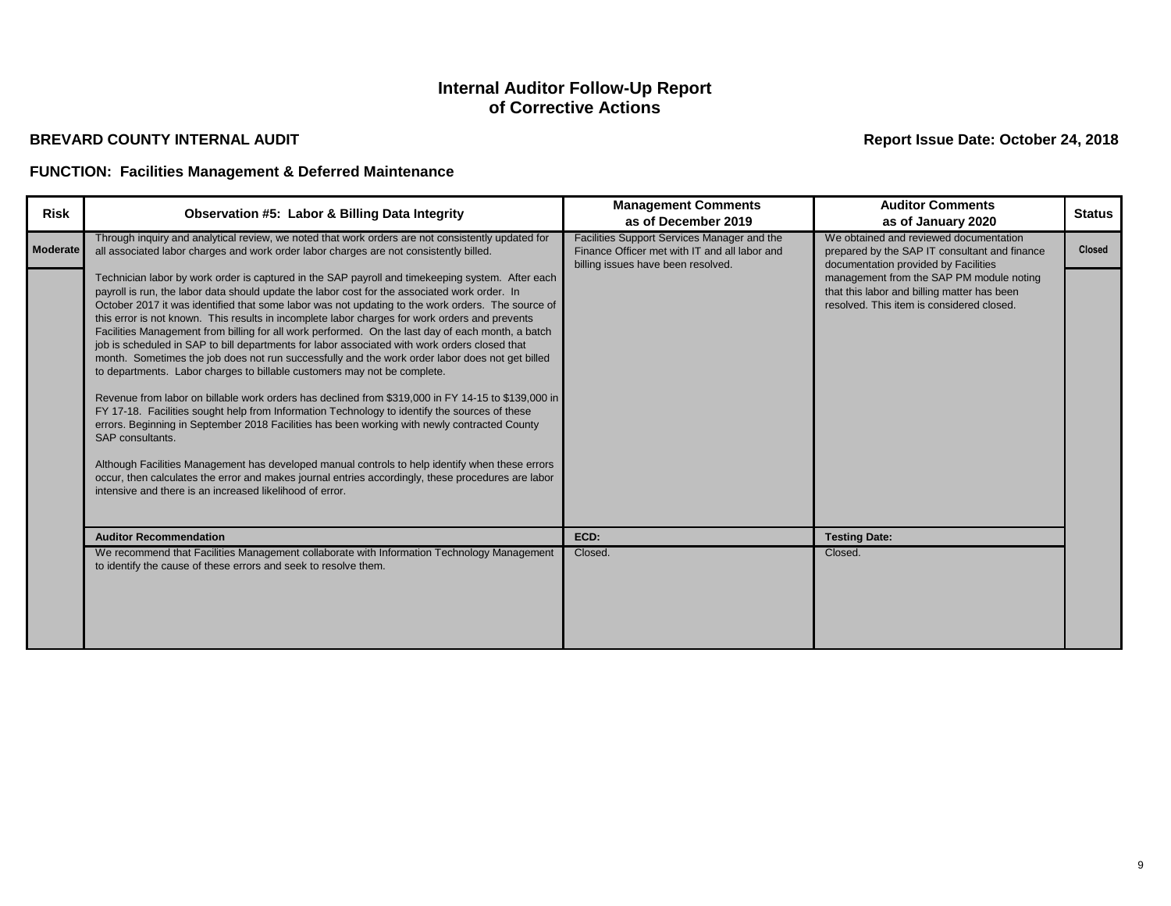# **BREVARD COUNTY INTERNAL AUDIT Report Issue Date: October 24, 2018**

| <b>Risk</b>     | <b>Observation #5: Labor &amp; Billing Data Integrity</b>                                                                                                                                                                                                                                                                                                                                                                                                                                                                                                                                                                                                                                                                                                                                                                                                                                                                                                                                                                                                                                                                                                                                                                                                                                                                                                                                     | <b>Management Comments</b><br>as of December 2019                                                                                  | <b>Auditor Comments</b><br>as of January 2020                                                                                        | <b>Status</b> |
|-----------------|-----------------------------------------------------------------------------------------------------------------------------------------------------------------------------------------------------------------------------------------------------------------------------------------------------------------------------------------------------------------------------------------------------------------------------------------------------------------------------------------------------------------------------------------------------------------------------------------------------------------------------------------------------------------------------------------------------------------------------------------------------------------------------------------------------------------------------------------------------------------------------------------------------------------------------------------------------------------------------------------------------------------------------------------------------------------------------------------------------------------------------------------------------------------------------------------------------------------------------------------------------------------------------------------------------------------------------------------------------------------------------------------------|------------------------------------------------------------------------------------------------------------------------------------|--------------------------------------------------------------------------------------------------------------------------------------|---------------|
| <b>Moderate</b> | Through inquiry and analytical review, we noted that work orders are not consistently updated for<br>all associated labor charges and work order labor charges are not consistently billed.                                                                                                                                                                                                                                                                                                                                                                                                                                                                                                                                                                                                                                                                                                                                                                                                                                                                                                                                                                                                                                                                                                                                                                                                   | Facilities Support Services Manager and the<br>Finance Officer met with IT and all labor and<br>billing issues have been resolved. | We obtained and reviewed documentation<br>prepared by the SAP IT consultant and finance<br>documentation provided by Facilities      | <b>Closed</b> |
|                 | Technician labor by work order is captured in the SAP payroll and timekeeping system. After each<br>payroll is run, the labor data should update the labor cost for the associated work order. In<br>October 2017 it was identified that some labor was not updating to the work orders. The source of<br>this error is not known. This results in incomplete labor charges for work orders and prevents<br>Facilities Management from billing for all work performed. On the last day of each month, a batch<br>job is scheduled in SAP to bill departments for labor associated with work orders closed that<br>month. Sometimes the job does not run successfully and the work order labor does not get billed<br>to departments. Labor charges to billable customers may not be complete.<br>Revenue from labor on billable work orders has declined from \$319,000 in FY 14-15 to \$139,000 in<br>FY 17-18. Facilities sought help from Information Technology to identify the sources of these<br>errors. Beginning in September 2018 Facilities has been working with newly contracted County<br>SAP consultants.<br>Although Facilities Management has developed manual controls to help identify when these errors<br>occur, then calculates the error and makes journal entries accordingly, these procedures are labor<br>intensive and there is an increased likelihood of error. |                                                                                                                                    | management from the SAP PM module noting<br>that this labor and billing matter has been<br>resolved. This item is considered closed. |               |
|                 | <b>Auditor Recommendation</b>                                                                                                                                                                                                                                                                                                                                                                                                                                                                                                                                                                                                                                                                                                                                                                                                                                                                                                                                                                                                                                                                                                                                                                                                                                                                                                                                                                 | ECD:                                                                                                                               | <b>Testing Date:</b>                                                                                                                 |               |
|                 | We recommend that Facilities Management collaborate with Information Technology Management<br>to identify the cause of these errors and seek to resolve them.                                                                                                                                                                                                                                                                                                                                                                                                                                                                                                                                                                                                                                                                                                                                                                                                                                                                                                                                                                                                                                                                                                                                                                                                                                 | Closed.                                                                                                                            | Closed.                                                                                                                              |               |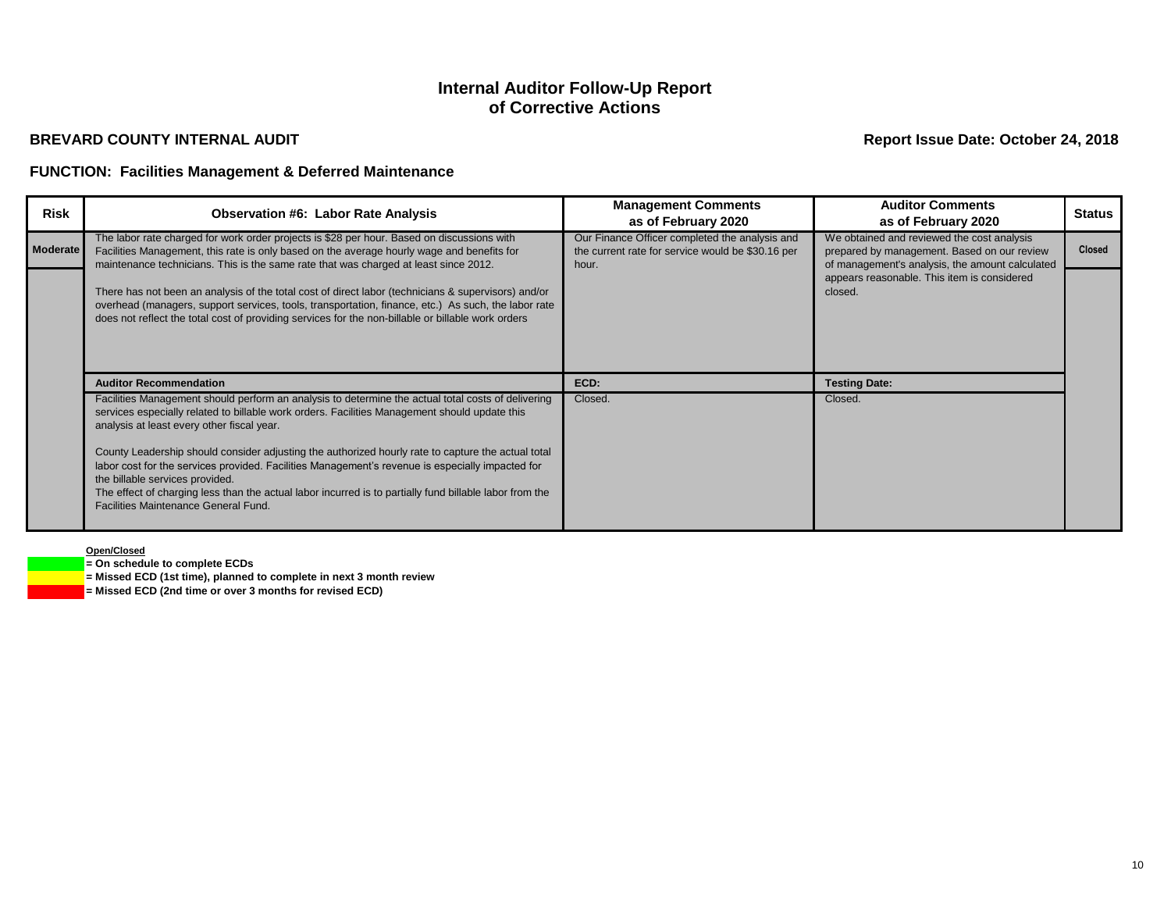# **BREVARD COUNTY INTERNAL AUDIT Report Issue Date: October 24, 2018**

### **FUNCTION: Facilities Management & Deferred Maintenance**

| <b>Risk</b> | <b>Observation #6: Labor Rate Analysis</b>                                                                                                                                                                                                                                                                                                                                                                                                                                                                                                                                                                                                        | <b>Management Comments</b><br>as of February 2020                                                            | <b>Auditor Comments</b><br>as of February 2020                                                                                               | <b>Status</b> |
|-------------|---------------------------------------------------------------------------------------------------------------------------------------------------------------------------------------------------------------------------------------------------------------------------------------------------------------------------------------------------------------------------------------------------------------------------------------------------------------------------------------------------------------------------------------------------------------------------------------------------------------------------------------------------|--------------------------------------------------------------------------------------------------------------|----------------------------------------------------------------------------------------------------------------------------------------------|---------------|
| Moderate    | The labor rate charged for work order projects is \$28 per hour. Based on discussions with<br>Facilities Management, this rate is only based on the average hourly wage and benefits for<br>maintenance technicians. This is the same rate that was charged at least since 2012.                                                                                                                                                                                                                                                                                                                                                                  | Our Finance Officer completed the analysis and<br>the current rate for service would be \$30.16 per<br>hour. | We obtained and reviewed the cost analysis<br>prepared by management. Based on our review<br>of management's analysis, the amount calculated | <b>Closed</b> |
|             | There has not been an analysis of the total cost of direct labor (technicians & supervisors) and/or<br>overhead (managers, support services, tools, transportation, finance, etc.) As such, the labor rate<br>does not reflect the total cost of providing services for the non-billable or billable work orders                                                                                                                                                                                                                                                                                                                                  |                                                                                                              | appears reasonable. This item is considered<br>closed.                                                                                       |               |
|             | <b>Auditor Recommendation</b>                                                                                                                                                                                                                                                                                                                                                                                                                                                                                                                                                                                                                     | ECD:                                                                                                         | <b>Testing Date:</b>                                                                                                                         |               |
|             | Facilities Management should perform an analysis to determine the actual total costs of delivering<br>services especially related to billable work orders. Facilities Management should update this<br>analysis at least every other fiscal year.<br>County Leadership should consider adjusting the authorized hourly rate to capture the actual total<br>labor cost for the services provided. Facilities Management's revenue is especially impacted for<br>the billable services provided.<br>The effect of charging less than the actual labor incurred is to partially fund billable labor from the<br>Facilities Maintenance General Fund. | Closed.                                                                                                      | Closed.                                                                                                                                      |               |

#### **Open/Closed**

**= On schedule to complete ECDs**

**= Missed ECD (1st time), planned to complete in next 3 month review**

**= Missed ECD (2nd time or over 3 months for revised ECD)**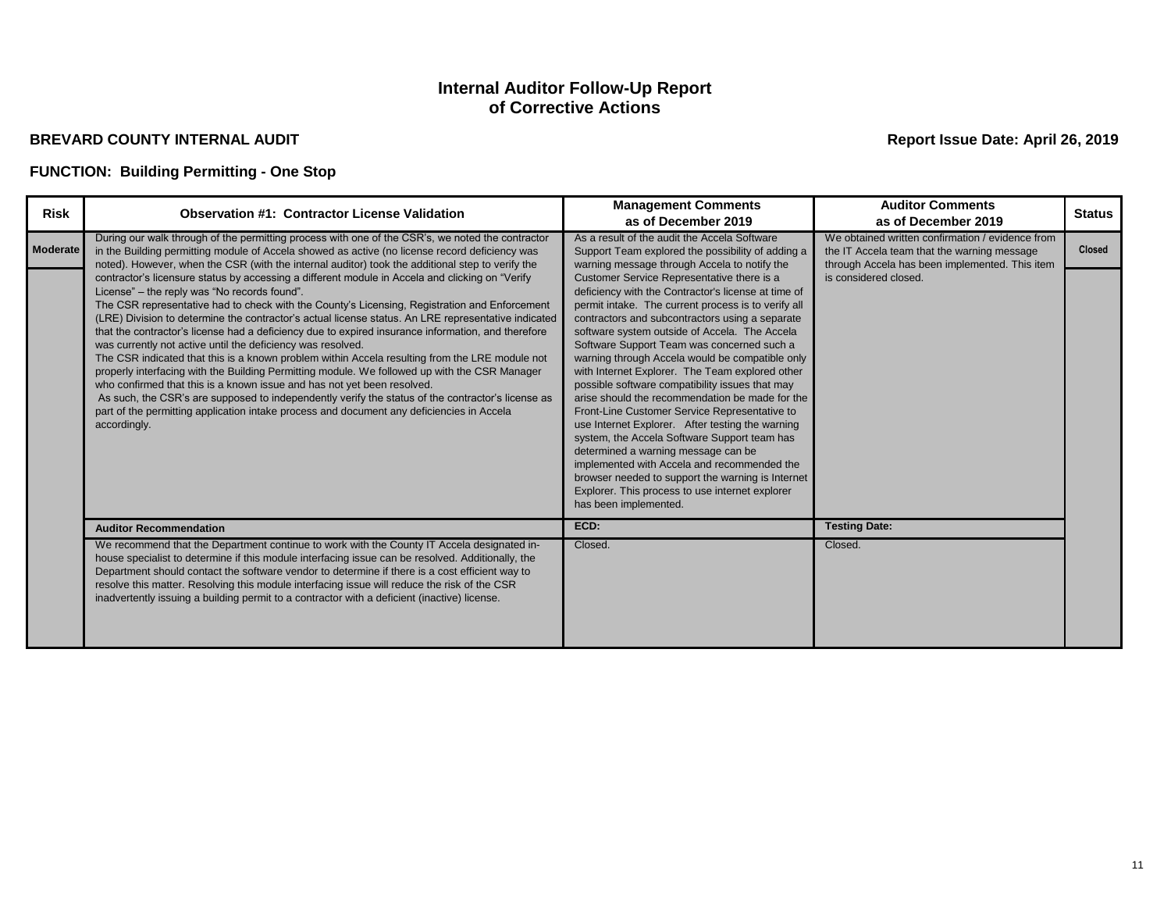# **BREVARD COUNTY INTERNAL AUDIT Report Issue Date: April 26, 2019**

# **FUNCTION: Building Permitting - One Stop**

| <b>Risk</b>     | <b>Observation #1: Contractor License Validation</b>                                                                                                                                                                                                                                                                                                                                                                                                                                                                                                                                                                                                                                                                                                                                                                                                                                                                                                                                                                         | <b>Management Comments</b><br>as of December 2019                                                                                                                                                                                                                                                                                                                                                                                                                                                                                                                                                                                                                                                                                                                                                                                                                                                  | <b>Auditor Comments</b><br>as of December 2019                                                                                                    | <b>Status</b> |
|-----------------|------------------------------------------------------------------------------------------------------------------------------------------------------------------------------------------------------------------------------------------------------------------------------------------------------------------------------------------------------------------------------------------------------------------------------------------------------------------------------------------------------------------------------------------------------------------------------------------------------------------------------------------------------------------------------------------------------------------------------------------------------------------------------------------------------------------------------------------------------------------------------------------------------------------------------------------------------------------------------------------------------------------------------|----------------------------------------------------------------------------------------------------------------------------------------------------------------------------------------------------------------------------------------------------------------------------------------------------------------------------------------------------------------------------------------------------------------------------------------------------------------------------------------------------------------------------------------------------------------------------------------------------------------------------------------------------------------------------------------------------------------------------------------------------------------------------------------------------------------------------------------------------------------------------------------------------|---------------------------------------------------------------------------------------------------------------------------------------------------|---------------|
| <b>Moderate</b> | During our walk through of the permitting process with one of the CSR's, we noted the contractor<br>in the Building permitting module of Accela showed as active (no license record deficiency was<br>noted). However, when the CSR (with the internal auditor) took the additional step to verify the                                                                                                                                                                                                                                                                                                                                                                                                                                                                                                                                                                                                                                                                                                                       | As a result of the audit the Accela Software<br>Support Team explored the possibility of adding a<br>warning message through Accela to notify the                                                                                                                                                                                                                                                                                                                                                                                                                                                                                                                                                                                                                                                                                                                                                  | We obtained written confirmation / evidence from<br>the IT Accela team that the warning message<br>through Accela has been implemented. This item | <b>Closed</b> |
|                 | contractor's licensure status by accessing a different module in Accela and clicking on "Verify<br>License" - the reply was "No records found".<br>The CSR representative had to check with the County's Licensing, Registration and Enforcement<br>(LRE) Division to determine the contractor's actual license status. An LRE representative indicated<br>that the contractor's license had a deficiency due to expired insurance information, and therefore<br>was currently not active until the deficiency was resolved.<br>The CSR indicated that this is a known problem within Accela resulting from the LRE module not<br>properly interfacing with the Building Permitting module. We followed up with the CSR Manager<br>who confirmed that this is a known issue and has not yet been resolved.<br>As such, the CSR's are supposed to independently verify the status of the contractor's license as<br>part of the permitting application intake process and document any deficiencies in Accela<br>accordingly. | Customer Service Representative there is a<br>deficiency with the Contractor's license at time of<br>permit intake. The current process is to verify all<br>contractors and subcontractors using a separate<br>software system outside of Accela. The Accela<br>Software Support Team was concerned such a<br>warning through Accela would be compatible only<br>with Internet Explorer. The Team explored other<br>possible software compatibility issues that may<br>arise should the recommendation be made for the<br>Front-Line Customer Service Representative to<br>use Internet Explorer. After testing the warning<br>system, the Accela Software Support team has<br>determined a warning message can be<br>implemented with Accela and recommended the<br>browser needed to support the warning is Internet<br>Explorer. This process to use internet explorer<br>has been implemented. | is considered closed.                                                                                                                             |               |
|                 | <b>Auditor Recommendation</b>                                                                                                                                                                                                                                                                                                                                                                                                                                                                                                                                                                                                                                                                                                                                                                                                                                                                                                                                                                                                | ECD:                                                                                                                                                                                                                                                                                                                                                                                                                                                                                                                                                                                                                                                                                                                                                                                                                                                                                               | <b>Testing Date:</b>                                                                                                                              |               |
|                 | We recommend that the Department continue to work with the County IT Accela designated in-<br>house specialist to determine if this module interfacing issue can be resolved. Additionally, the<br>Department should contact the software vendor to determine if there is a cost efficient way to<br>resolve this matter. Resolving this module interfacing issue will reduce the risk of the CSR<br>inadvertently issuing a building permit to a contractor with a deficient (inactive) license.                                                                                                                                                                                                                                                                                                                                                                                                                                                                                                                            | Closed.                                                                                                                                                                                                                                                                                                                                                                                                                                                                                                                                                                                                                                                                                                                                                                                                                                                                                            | Closed.                                                                                                                                           |               |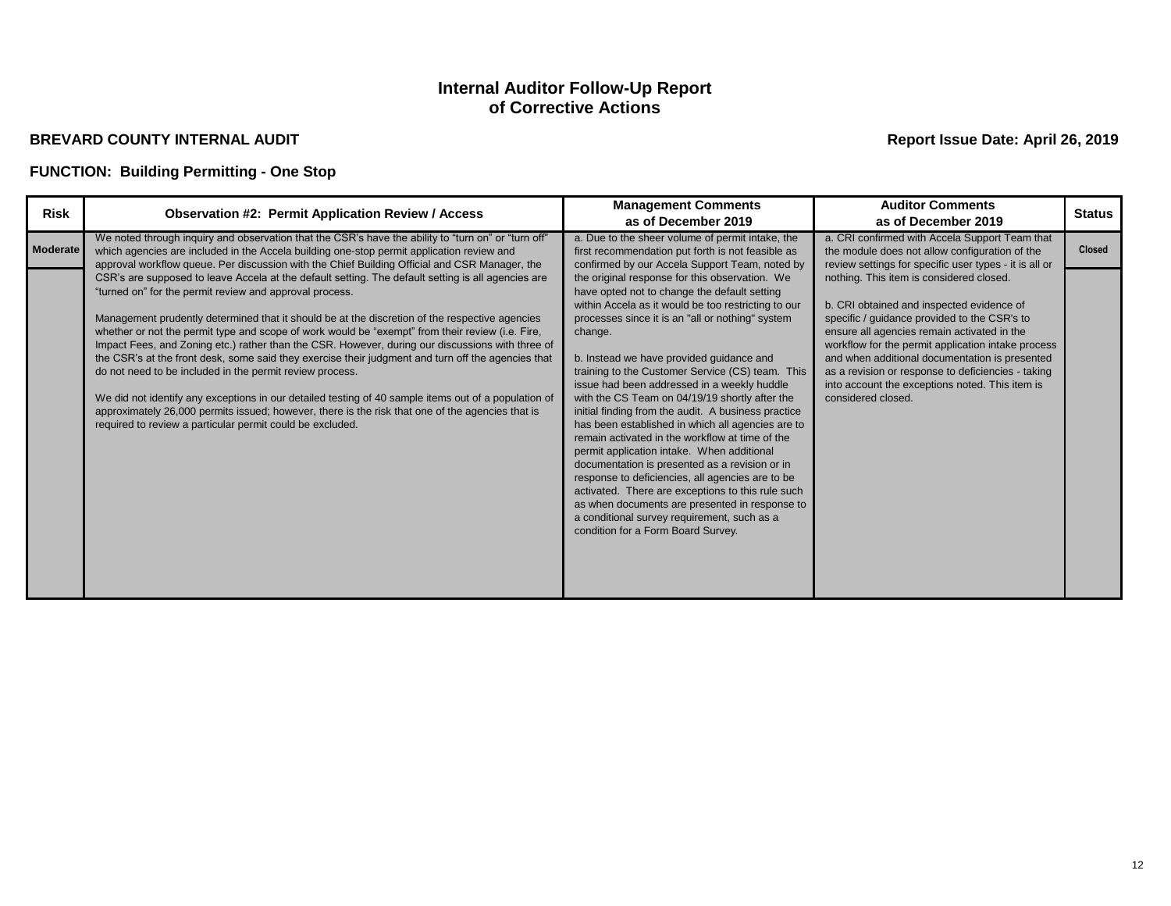# **BREVARD COUNTY INTERNAL AUDIT Report Issue Date: April 26, 2019**

# **FUNCTION: Building Permitting - One Stop**

| <b>Risk</b>     | <b>Observation #2: Permit Application Review / Access</b>                                                                                                                                                                                                                                                                                                                                                                                                                                                                                                                                                                                                                                                                                         | <b>Management Comments</b><br>as of December 2019                                                                                                                                                                                                                                                                                                                                                                               | <b>Auditor Comments</b><br>as of December 2019                                                                                                                                                                                                                                                                                                                                  | <b>Status</b> |
|-----------------|---------------------------------------------------------------------------------------------------------------------------------------------------------------------------------------------------------------------------------------------------------------------------------------------------------------------------------------------------------------------------------------------------------------------------------------------------------------------------------------------------------------------------------------------------------------------------------------------------------------------------------------------------------------------------------------------------------------------------------------------------|---------------------------------------------------------------------------------------------------------------------------------------------------------------------------------------------------------------------------------------------------------------------------------------------------------------------------------------------------------------------------------------------------------------------------------|---------------------------------------------------------------------------------------------------------------------------------------------------------------------------------------------------------------------------------------------------------------------------------------------------------------------------------------------------------------------------------|---------------|
| <b>Moderate</b> | We noted through inquiry and observation that the CSR's have the ability to "turn on" or "turn off"<br>which agencies are included in the Accela building one-stop permit application review and<br>approval workflow queue. Per discussion with the Chief Building Official and CSR Manager, the                                                                                                                                                                                                                                                                                                                                                                                                                                                 | a. Due to the sheer volume of permit intake, the<br>first recommendation put forth is not feasible as<br>confirmed by our Accela Support Team, noted by                                                                                                                                                                                                                                                                         | a. CRI confirmed with Accela Support Team that<br>the module does not allow configuration of the<br>review settings for specific user types - it is all or                                                                                                                                                                                                                      | <b>Closed</b> |
|                 | CSR's are supposed to leave Accela at the default setting. The default setting is all agencies are<br>"turned on" for the permit review and approval process.                                                                                                                                                                                                                                                                                                                                                                                                                                                                                                                                                                                     | the original response for this observation. We<br>have opted not to change the default setting                                                                                                                                                                                                                                                                                                                                  | nothing. This item is considered closed.                                                                                                                                                                                                                                                                                                                                        |               |
|                 | Management prudently determined that it should be at the discretion of the respective agencies<br>whether or not the permit type and scope of work would be "exempt" from their review (i.e. Fire,<br>Impact Fees, and Zoning etc.) rather than the CSR. However, during our discussions with three of<br>the CSR's at the front desk, some said they exercise their judgment and turn off the agencies that<br>do not need to be included in the permit review process.<br>We did not identify any exceptions in our detailed testing of 40 sample items out of a population of<br>approximately 26,000 permits issued; however, there is the risk that one of the agencies that is<br>required to review a particular permit could be excluded. | within Accela as it would be too restricting to our<br>processes since it is an "all or nothing" system<br>change.<br>b. Instead we have provided guidance and<br>training to the Customer Service (CS) team. This<br>issue had been addressed in a weekly huddle<br>with the CS Team on 04/19/19 shortly after the<br>initial finding from the audit. A business practice<br>has been established in which all agencies are to | b. CRI obtained and inspected evidence of<br>specific / guidance provided to the CSR's to<br>ensure all agencies remain activated in the<br>workflow for the permit application intake process<br>and when additional documentation is presented<br>as a revision or response to deficiencies - taking<br>into account the exceptions noted. This item is<br>considered closed. |               |
|                 |                                                                                                                                                                                                                                                                                                                                                                                                                                                                                                                                                                                                                                                                                                                                                   | remain activated in the workflow at time of the<br>permit application intake. When additional<br>documentation is presented as a revision or in<br>response to deficiencies, all agencies are to be<br>activated. There are exceptions to this rule such<br>as when documents are presented in response to<br>a conditional survey requirement, such as a<br>condition for a Form Board Survey.                                 |                                                                                                                                                                                                                                                                                                                                                                                 |               |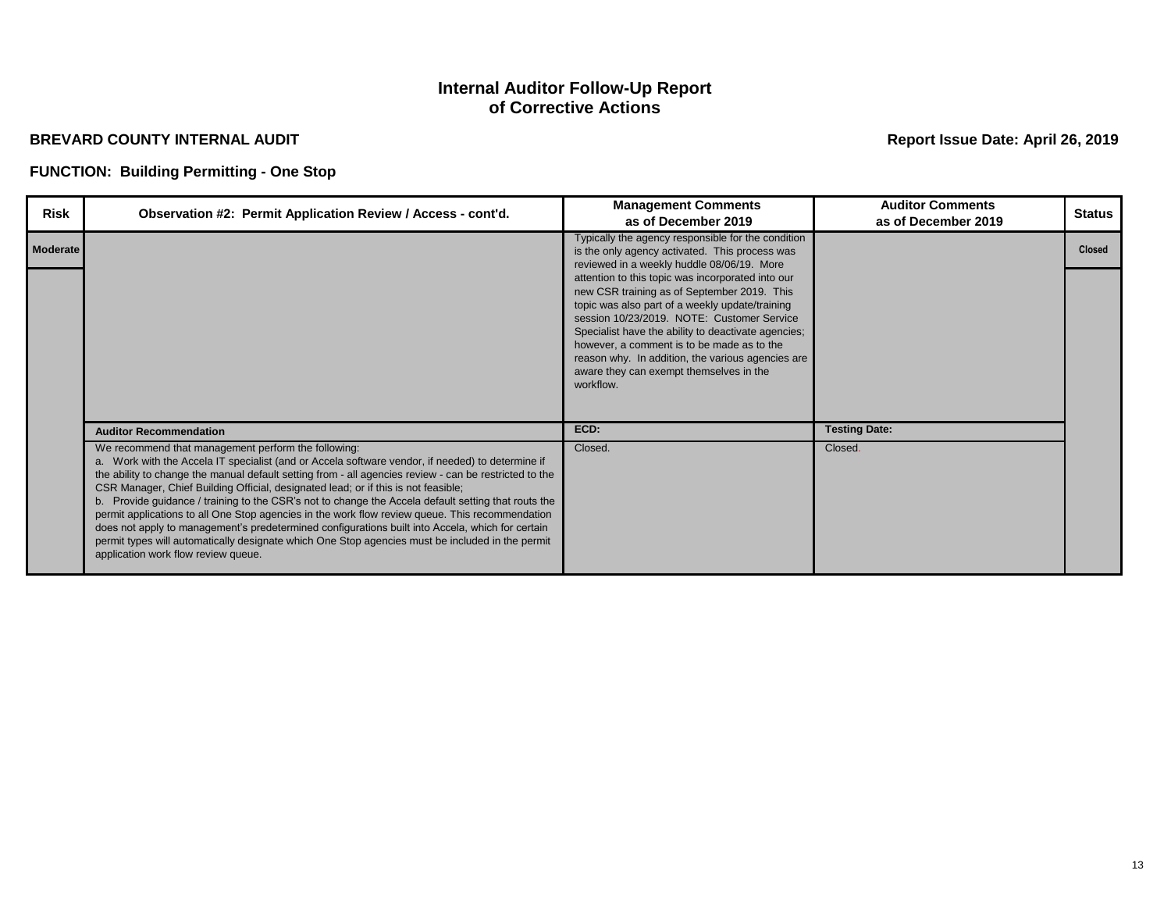# **BREVARD COUNTY INTERNAL AUDIT Report Issue Date: April 26, 2019**

# **FUNCTION: Building Permitting - One Stop**

| <b>Risk</b>     | Observation #2: Permit Application Review / Access - cont'd.                                                                                                                                                                                                                                                                                                                                                                                                                                                                                                                                                                                                                                                                                                                                                     | <b>Management Comments</b><br>as of December 2019                                                                                                                                                                                                                                                                                                                                                                   | <b>Auditor Comments</b><br>as of December 2019 | <b>Status</b> |
|-----------------|------------------------------------------------------------------------------------------------------------------------------------------------------------------------------------------------------------------------------------------------------------------------------------------------------------------------------------------------------------------------------------------------------------------------------------------------------------------------------------------------------------------------------------------------------------------------------------------------------------------------------------------------------------------------------------------------------------------------------------------------------------------------------------------------------------------|---------------------------------------------------------------------------------------------------------------------------------------------------------------------------------------------------------------------------------------------------------------------------------------------------------------------------------------------------------------------------------------------------------------------|------------------------------------------------|---------------|
| <b>Moderate</b> |                                                                                                                                                                                                                                                                                                                                                                                                                                                                                                                                                                                                                                                                                                                                                                                                                  | Typically the agency responsible for the condition<br>is the only agency activated. This process was<br>reviewed in a weekly huddle 08/06/19. More                                                                                                                                                                                                                                                                  |                                                | <b>Closed</b> |
|                 |                                                                                                                                                                                                                                                                                                                                                                                                                                                                                                                                                                                                                                                                                                                                                                                                                  | attention to this topic was incorporated into our<br>new CSR training as of September 2019. This<br>topic was also part of a weekly update/training<br>session 10/23/2019. NOTE: Customer Service<br>Specialist have the ability to deactivate agencies;<br>however, a comment is to be made as to the<br>reason why. In addition, the various agencies are<br>aware they can exempt themselves in the<br>workflow. |                                                |               |
|                 | <b>Auditor Recommendation</b>                                                                                                                                                                                                                                                                                                                                                                                                                                                                                                                                                                                                                                                                                                                                                                                    | ECD:                                                                                                                                                                                                                                                                                                                                                                                                                | <b>Testing Date:</b>                           |               |
|                 | We recommend that management perform the following:<br>a. Work with the Accela IT specialist (and or Accela software vendor, if needed) to determine if<br>the ability to change the manual default setting from - all agencies review - can be restricted to the<br>CSR Manager, Chief Building Official, designated lead; or if this is not feasible;<br>b. Provide guidance / training to the CSR's not to change the Accela default setting that routs the<br>permit applications to all One Stop agencies in the work flow review queue. This recommendation<br>does not apply to management's predetermined configurations built into Accela, which for certain<br>permit types will automatically designate which One Stop agencies must be included in the permit<br>application work flow review queue. | Closed.                                                                                                                                                                                                                                                                                                                                                                                                             | Closed.                                        |               |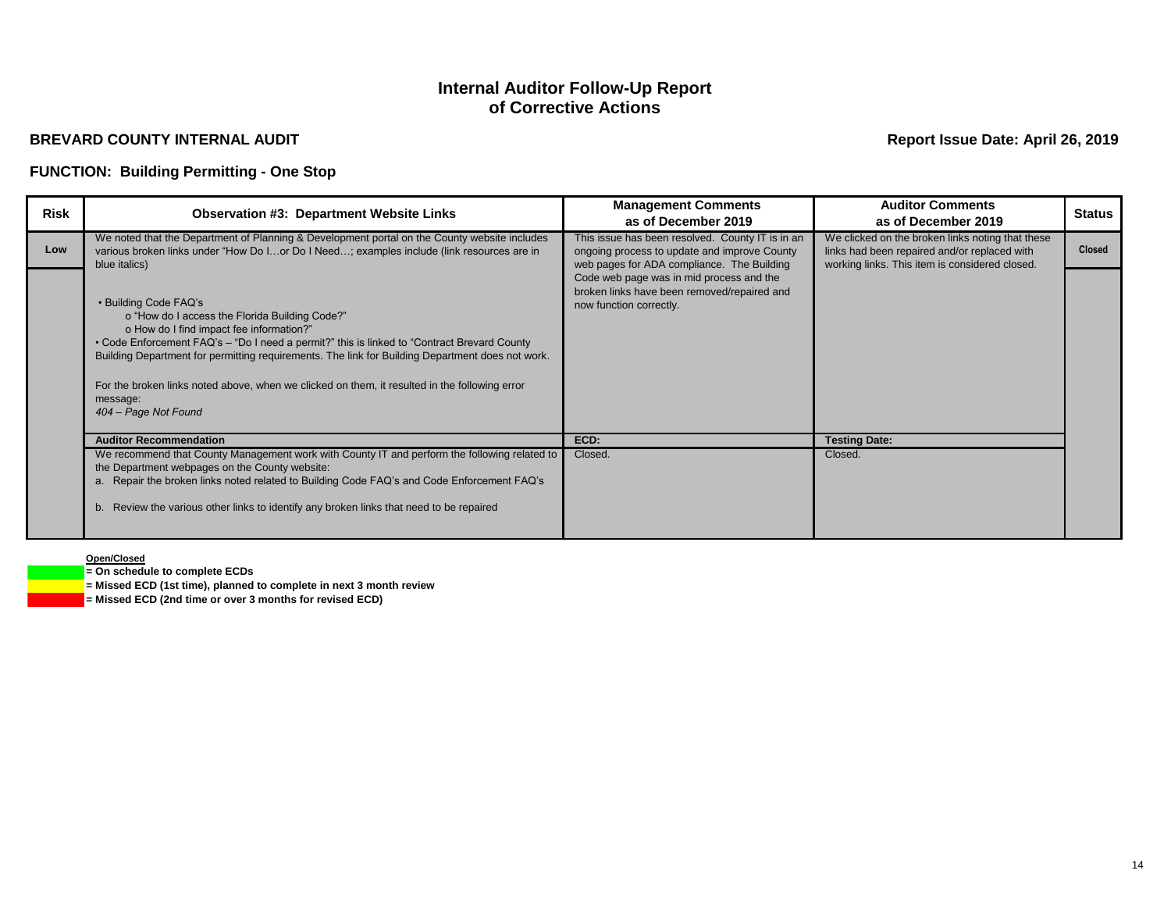# **BREVARD COUNTY INTERNAL AUDIT Report Issue Date: April 26, 2019**

### **FUNCTION: Building Permitting - One Stop**

| <b>Risk</b> | <b>Observation #3: Department Website Links</b>                                                                                                                                                                                                                                                                                                                                                                                                             | <b>Management Comments</b><br>as of December 2019                                                                                              | <b>Auditor Comments</b><br>as of December 2019                                                                                                     | <b>Status</b> |
|-------------|-------------------------------------------------------------------------------------------------------------------------------------------------------------------------------------------------------------------------------------------------------------------------------------------------------------------------------------------------------------------------------------------------------------------------------------------------------------|------------------------------------------------------------------------------------------------------------------------------------------------|----------------------------------------------------------------------------------------------------------------------------------------------------|---------------|
| Low         | We noted that the Department of Planning & Development portal on the County website includes<br>various broken links under "How Do Ior Do I Need; examples include (link resources are in<br>blue italics)                                                                                                                                                                                                                                                  | This issue has been resolved. County IT is in an<br>ongoing process to update and improve County<br>web pages for ADA compliance. The Building | We clicked on the broken links noting that these<br>links had been repaired and/or replaced with<br>working links. This item is considered closed. | <b>Closed</b> |
|             | • Building Code FAQ's<br>o "How do I access the Florida Building Code?"<br>o How do I find impact fee information?"<br>• Code Enforcement FAQ's - "Do I need a permit?" this is linked to "Contract Brevard County<br>Building Department for permitting requirements. The link for Building Department does not work.<br>For the broken links noted above, when we clicked on them, it resulted in the following error<br>message:<br>404 - Page Not Found | Code web page was in mid process and the<br>broken links have been removed/repaired and<br>now function correctly.                             |                                                                                                                                                    |               |
|             | <b>Auditor Recommendation</b>                                                                                                                                                                                                                                                                                                                                                                                                                               | ECD:                                                                                                                                           | <b>Testing Date:</b>                                                                                                                               |               |
|             | We recommend that County Management work with County IT and perform the following related to<br>the Department webpages on the County website:<br>a. Repair the broken links noted related to Building Code FAQ's and Code Enforcement FAQ's<br>b. Review the various other links to identify any broken links that need to be repaired                                                                                                                     | Closed.                                                                                                                                        | Closed.                                                                                                                                            |               |

#### **Open/Closed**

- **= On schedule to complete ECDs**
- **= Missed ECD (1st time), planned to complete in next 3 month review**
- **= Missed ECD (2nd time or over 3 months for revised ECD)**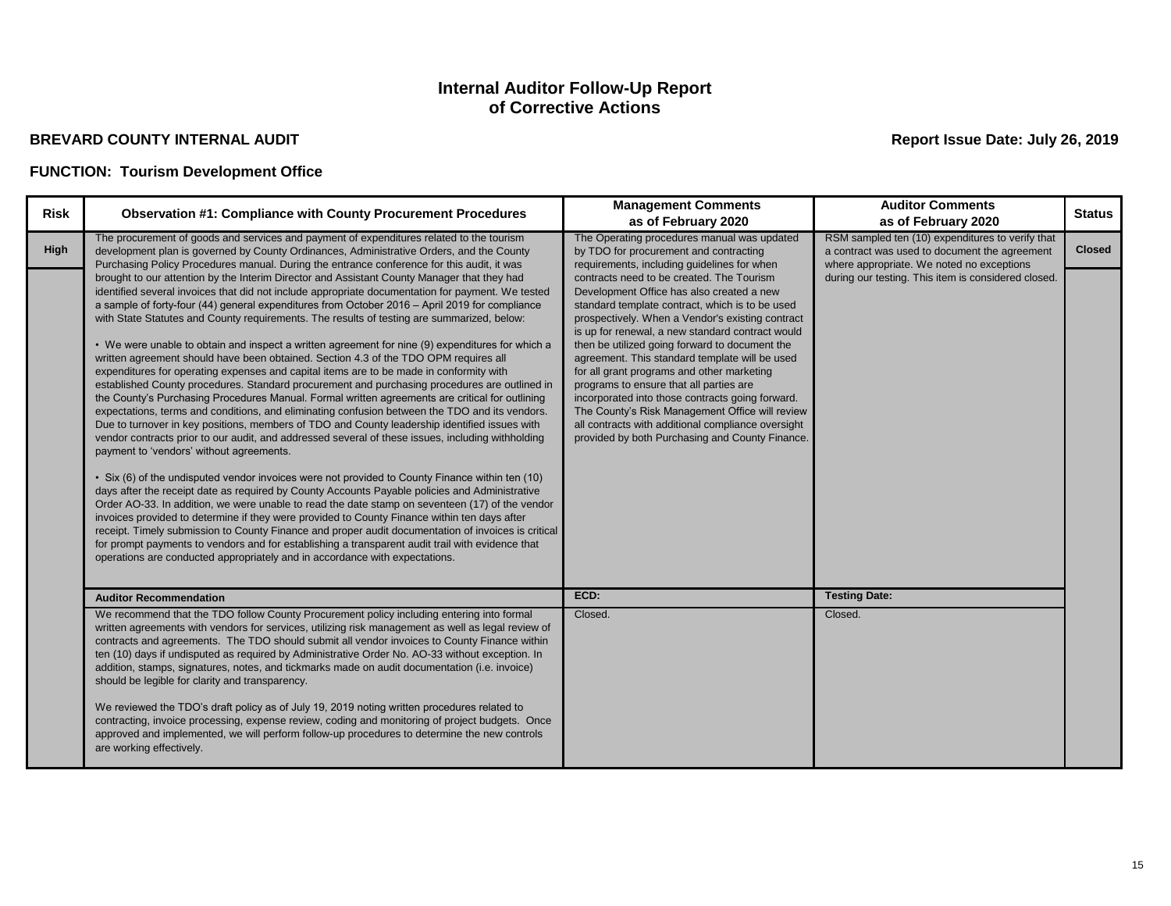# **BREVARD COUNTY INTERNAL AUDIT Report Issue Date: July 26, 2019**

| <b>Risk</b> | <b>Observation #1: Compliance with County Procurement Procedures</b>                                                                                                                                                                                                                                                                                                                                                                                                                                                                                                                                                                                                                                                                                                                                                                                                                                                                                                                                                                                                                                                                                                                                                                                                                                                                                                                                                                                                                                                                                                                                                                                                                                                                                                                                                                                                                                                                              | <b>Management Comments</b><br>as of February 2020                                                                                                                                                                                                                                                                                                                                                                                                                                                                                                                                                                                                              | <b>Auditor Comments</b><br>as of February 2020                                                                                                 | <b>Status</b> |
|-------------|---------------------------------------------------------------------------------------------------------------------------------------------------------------------------------------------------------------------------------------------------------------------------------------------------------------------------------------------------------------------------------------------------------------------------------------------------------------------------------------------------------------------------------------------------------------------------------------------------------------------------------------------------------------------------------------------------------------------------------------------------------------------------------------------------------------------------------------------------------------------------------------------------------------------------------------------------------------------------------------------------------------------------------------------------------------------------------------------------------------------------------------------------------------------------------------------------------------------------------------------------------------------------------------------------------------------------------------------------------------------------------------------------------------------------------------------------------------------------------------------------------------------------------------------------------------------------------------------------------------------------------------------------------------------------------------------------------------------------------------------------------------------------------------------------------------------------------------------------------------------------------------------------------------------------------------------------|----------------------------------------------------------------------------------------------------------------------------------------------------------------------------------------------------------------------------------------------------------------------------------------------------------------------------------------------------------------------------------------------------------------------------------------------------------------------------------------------------------------------------------------------------------------------------------------------------------------------------------------------------------------|------------------------------------------------------------------------------------------------------------------------------------------------|---------------|
| High        | The procurement of goods and services and payment of expenditures related to the tourism<br>development plan is governed by County Ordinances, Administrative Orders, and the County<br>Purchasing Policy Procedures manual. During the entrance conference for this audit, it was                                                                                                                                                                                                                                                                                                                                                                                                                                                                                                                                                                                                                                                                                                                                                                                                                                                                                                                                                                                                                                                                                                                                                                                                                                                                                                                                                                                                                                                                                                                                                                                                                                                                | The Operating procedures manual was updated<br>by TDO for procurement and contracting<br>requirements, including guidelines for when                                                                                                                                                                                                                                                                                                                                                                                                                                                                                                                           | RSM sampled ten (10) expenditures to verify that<br>a contract was used to document the agreement<br>where appropriate. We noted no exceptions | <b>Closed</b> |
|             | brought to our attention by the Interim Director and Assistant County Manager that they had<br>identified several invoices that did not include appropriate documentation for payment. We tested<br>a sample of forty-four (44) general expenditures from October 2016 - April 2019 for compliance<br>with State Statutes and County requirements. The results of testing are summarized, below:<br>• We were unable to obtain and inspect a written agreement for nine (9) expenditures for which a<br>written agreement should have been obtained. Section 4.3 of the TDO OPM requires all<br>expenditures for operating expenses and capital items are to be made in conformity with<br>established County procedures. Standard procurement and purchasing procedures are outlined in<br>the County's Purchasing Procedures Manual. Formal written agreements are critical for outlining<br>expectations, terms and conditions, and eliminating confusion between the TDO and its vendors.<br>Due to turnover in key positions, members of TDO and County leadership identified issues with<br>vendor contracts prior to our audit, and addressed several of these issues, including withholding<br>payment to 'vendors' without agreements.<br>· Six (6) of the undisputed vendor invoices were not provided to County Finance within ten (10)<br>days after the receipt date as required by County Accounts Payable policies and Administrative<br>Order AO-33. In addition, we were unable to read the date stamp on seventeen (17) of the vendor<br>invoices provided to determine if they were provided to County Finance within ten days after<br>receipt. Timely submission to County Finance and proper audit documentation of invoices is critical<br>for prompt payments to vendors and for establishing a transparent audit trail with evidence that<br>operations are conducted appropriately and in accordance with expectations. | contracts need to be created. The Tourism<br>Development Office has also created a new<br>standard template contract, which is to be used<br>prospectively. When a Vendor's existing contract<br>is up for renewal, a new standard contract would<br>then be utilized going forward to document the<br>agreement. This standard template will be used<br>for all grant programs and other marketing<br>programs to ensure that all parties are<br>incorporated into those contracts going forward.<br>The County's Risk Management Office will review<br>all contracts with additional compliance oversight<br>provided by both Purchasing and County Finance. | during our testing. This item is considered closed.                                                                                            |               |
|             | <b>Auditor Recommendation</b>                                                                                                                                                                                                                                                                                                                                                                                                                                                                                                                                                                                                                                                                                                                                                                                                                                                                                                                                                                                                                                                                                                                                                                                                                                                                                                                                                                                                                                                                                                                                                                                                                                                                                                                                                                                                                                                                                                                     | ECD:                                                                                                                                                                                                                                                                                                                                                                                                                                                                                                                                                                                                                                                           | <b>Testing Date:</b>                                                                                                                           |               |
|             | We recommend that the TDO follow County Procurement policy including entering into formal<br>written agreements with vendors for services, utilizing risk management as well as legal review of<br>contracts and agreements. The TDO should submit all vendor invoices to County Finance within<br>ten (10) days if undisputed as required by Administrative Order No. AO-33 without exception. In<br>addition, stamps, signatures, notes, and tickmarks made on audit documentation (i.e. invoice)<br>should be legible for clarity and transparency.<br>We reviewed the TDO's draft policy as of July 19, 2019 noting written procedures related to<br>contracting, invoice processing, expense review, coding and monitoring of project budgets. Once<br>approved and implemented, we will perform follow-up procedures to determine the new controls<br>are working effectively.                                                                                                                                                                                                                                                                                                                                                                                                                                                                                                                                                                                                                                                                                                                                                                                                                                                                                                                                                                                                                                                              | Closed.                                                                                                                                                                                                                                                                                                                                                                                                                                                                                                                                                                                                                                                        | Closed.                                                                                                                                        |               |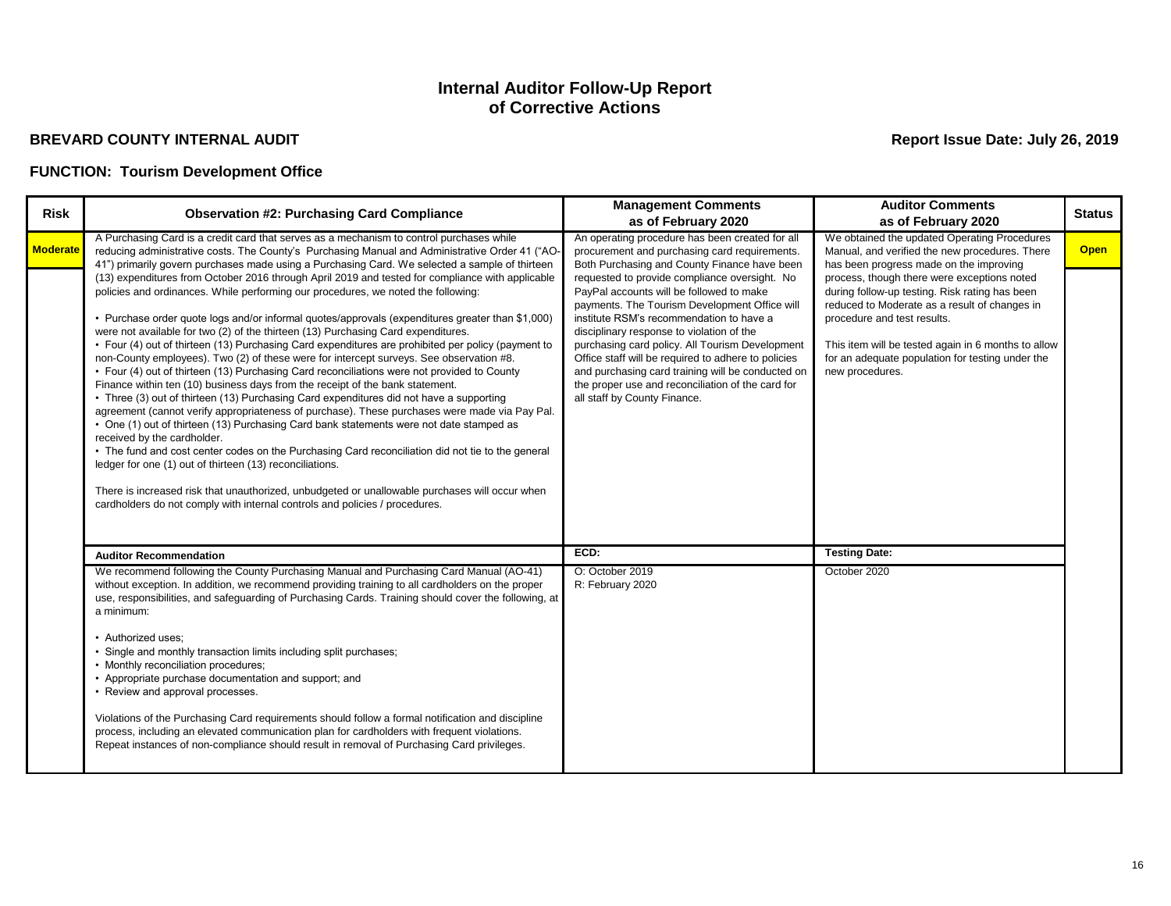# **BREVARD COUNTY INTERNAL AUDIT Report Issue Date: July 26, 2019**

| <b>Risk</b>     | <b>Observation #2: Purchasing Card Compliance</b>                                                                                                                                                                                                                                                                                                                                                                                                                                                                                                                                                                                                                                                                                                                                                                                                                                                                                                                                                                                                                                                                                                                                                                                                                                                                                                                                                                                                                                                                                                                                                                                                                                                                                        | <b>Management Comments</b><br>as of February 2020                                                                                                                                                                                                                                                                                                                                                                                                                                                                                                                                                                                           | <b>Auditor Comments</b><br>as of February 2020                                                                                                                                                                                                                                                                                                                                                                                                           | <b>Status</b> |
|-----------------|------------------------------------------------------------------------------------------------------------------------------------------------------------------------------------------------------------------------------------------------------------------------------------------------------------------------------------------------------------------------------------------------------------------------------------------------------------------------------------------------------------------------------------------------------------------------------------------------------------------------------------------------------------------------------------------------------------------------------------------------------------------------------------------------------------------------------------------------------------------------------------------------------------------------------------------------------------------------------------------------------------------------------------------------------------------------------------------------------------------------------------------------------------------------------------------------------------------------------------------------------------------------------------------------------------------------------------------------------------------------------------------------------------------------------------------------------------------------------------------------------------------------------------------------------------------------------------------------------------------------------------------------------------------------------------------------------------------------------------------|---------------------------------------------------------------------------------------------------------------------------------------------------------------------------------------------------------------------------------------------------------------------------------------------------------------------------------------------------------------------------------------------------------------------------------------------------------------------------------------------------------------------------------------------------------------------------------------------------------------------------------------------|----------------------------------------------------------------------------------------------------------------------------------------------------------------------------------------------------------------------------------------------------------------------------------------------------------------------------------------------------------------------------------------------------------------------------------------------------------|---------------|
| <b>Moderate</b> | A Purchasing Card is a credit card that serves as a mechanism to control purchases while<br>reducing administrative costs. The County's Purchasing Manual and Administrative Order 41 ("AO-<br>41") primarily govern purchases made using a Purchasing Card. We selected a sample of thirteen<br>(13) expenditures from October 2016 through April 2019 and tested for compliance with applicable<br>policies and ordinances. While performing our procedures, we noted the following:<br>• Purchase order quote logs and/or informal quotes/approvals (expenditures greater than \$1,000)<br>were not available for two (2) of the thirteen (13) Purchasing Card expenditures.<br>• Four (4) out of thirteen (13) Purchasing Card expenditures are prohibited per policy (payment to<br>non-County employees). Two (2) of these were for intercept surveys. See observation #8.<br>• Four (4) out of thirteen (13) Purchasing Card reconciliations were not provided to County<br>Finance within ten (10) business days from the receipt of the bank statement.<br>• Three (3) out of thirteen (13) Purchasing Card expenditures did not have a supporting<br>agreement (cannot verify appropriateness of purchase). These purchases were made via Pay Pal.<br>• One (1) out of thirteen (13) Purchasing Card bank statements were not date stamped as<br>received by the cardholder.<br>• The fund and cost center codes on the Purchasing Card reconciliation did not tie to the general<br>ledger for one (1) out of thirteen (13) reconciliations.<br>There is increased risk that unauthorized, unbudgeted or unallowable purchases will occur when<br>cardholders do not comply with internal controls and policies / procedures. | An operating procedure has been created for all<br>procurement and purchasing card requirements.<br>Both Purchasing and County Finance have been<br>requested to provide compliance oversight. No<br>PayPal accounts will be followed to make<br>payments. The Tourism Development Office will<br>institute RSM's recommendation to have a<br>disciplinary response to violation of the<br>purchasing card policy. All Tourism Development<br>Office staff will be required to adhere to policies<br>and purchasing card training will be conducted on<br>the proper use and reconciliation of the card for<br>all staff by County Finance. | We obtained the updated Operating Procedures<br>Manual, and verified the new procedures. There<br>has been progress made on the improving<br>process, though there were exceptions noted<br>during follow-up testing. Risk rating has been<br>reduced to Moderate as a result of changes in<br>procedure and test results.<br>This item will be tested again in 6 months to allow<br>for an adequate population for testing under the<br>new procedures. | <b>Open</b>   |
|                 | <b>Auditor Recommendation</b><br>We recommend following the County Purchasing Manual and Purchasing Card Manual (AO-41)<br>without exception. In addition, we recommend providing training to all cardholders on the proper<br>use, responsibilities, and safeguarding of Purchasing Cards. Training should cover the following, at<br>a minimum:<br>• Authorized uses;<br>• Single and monthly transaction limits including split purchases;<br>• Monthly reconciliation procedures;<br>• Appropriate purchase documentation and support; and<br>• Review and approval processes.<br>Violations of the Purchasing Card requirements should follow a formal notification and discipline<br>process, including an elevated communication plan for cardholders with frequent violations.<br>Repeat instances of non-compliance should result in removal of Purchasing Card privileges.                                                                                                                                                                                                                                                                                                                                                                                                                                                                                                                                                                                                                                                                                                                                                                                                                                                     | ECD:<br>O: October 2019<br>R: February 2020                                                                                                                                                                                                                                                                                                                                                                                                                                                                                                                                                                                                 | <b>Testing Date:</b><br>October 2020                                                                                                                                                                                                                                                                                                                                                                                                                     |               |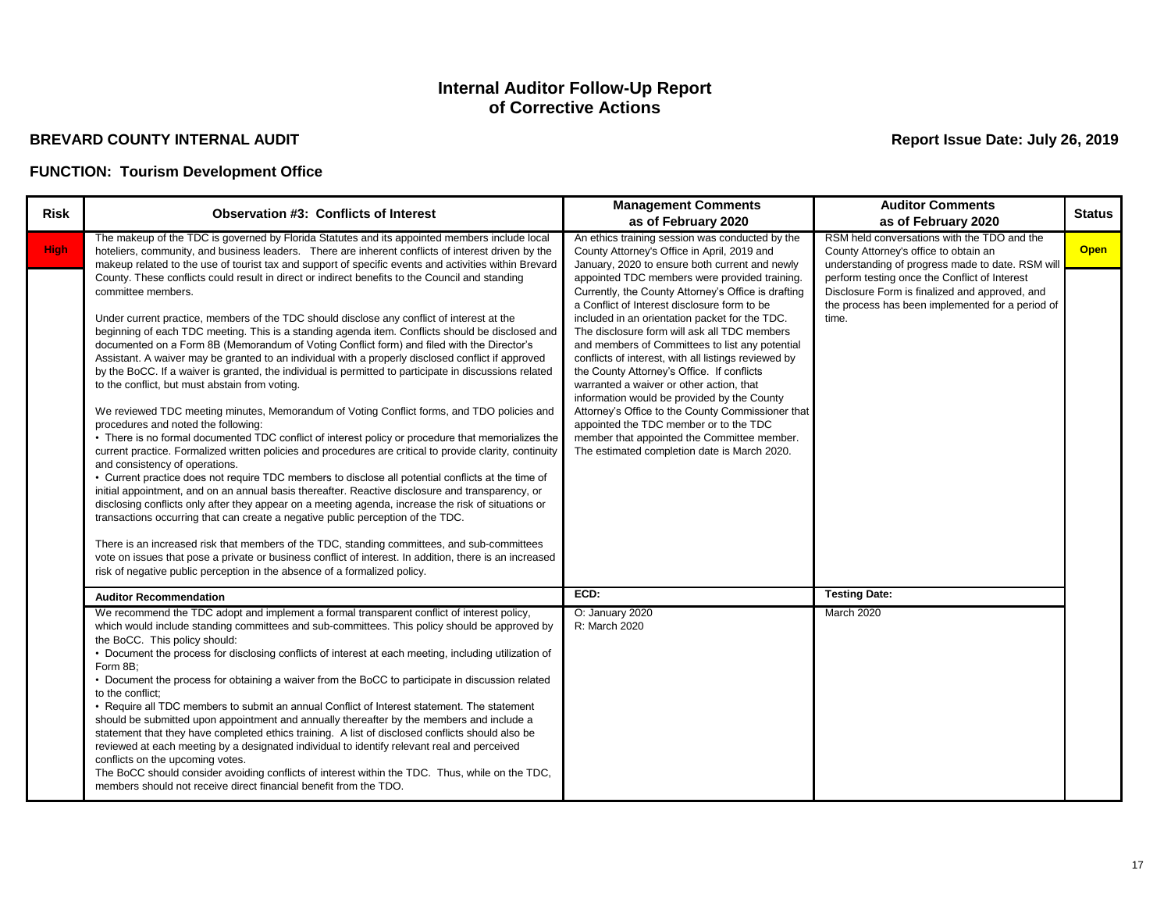# **BREVARD COUNTY INTERNAL AUDIT Report Issue Date: July 26, 2019**

| <b>Risk</b> | <b>Observation #3: Conflicts of Interest</b>                                                                                                                                                                                                                                                                                                                                                                                                                                                                                                                                                                                                                                                                                                                                                                                                                                                                                                                                                                                                                                         | <b>Management Comments</b><br>as of February 2020                                                                                                                                                                                                                                                                                                  | <b>Auditor Comments</b><br>as of February 2020                                                                                                                                                                                                                                                  | <b>Status</b> |
|-------------|--------------------------------------------------------------------------------------------------------------------------------------------------------------------------------------------------------------------------------------------------------------------------------------------------------------------------------------------------------------------------------------------------------------------------------------------------------------------------------------------------------------------------------------------------------------------------------------------------------------------------------------------------------------------------------------------------------------------------------------------------------------------------------------------------------------------------------------------------------------------------------------------------------------------------------------------------------------------------------------------------------------------------------------------------------------------------------------|----------------------------------------------------------------------------------------------------------------------------------------------------------------------------------------------------------------------------------------------------------------------------------------------------------------------------------------------------|-------------------------------------------------------------------------------------------------------------------------------------------------------------------------------------------------------------------------------------------------------------------------------------------------|---------------|
| <b>High</b> | The makeup of the TDC is governed by Florida Statutes and its appointed members include local<br>hoteliers, community, and business leaders. There are inherent conflicts of interest driven by the<br>makeup related to the use of tourist tax and support of specific events and activities within Brevard<br>County. These conflicts could result in direct or indirect benefits to the Council and standing<br>committee members.                                                                                                                                                                                                                                                                                                                                                                                                                                                                                                                                                                                                                                                | An ethics training session was conducted by the<br>County Attorney's Office in April, 2019 and<br>January, 2020 to ensure both current and newly<br>appointed TDC members were provided training.<br>Currently, the County Attorney's Office is drafting<br>a Conflict of Interest disclosure form to be                                           | RSM held conversations with the TDO and the<br>County Attorney's office to obtain an<br>understanding of progress made to date. RSM will<br>perform testing once the Conflict of Interest<br>Disclosure Form is finalized and approved, and<br>the process has been implemented for a period of | <b>Open</b>   |
|             | Under current practice, members of the TDC should disclose any conflict of interest at the<br>beginning of each TDC meeting. This is a standing agenda item. Conflicts should be disclosed and<br>documented on a Form 8B (Memorandum of Voting Conflict form) and filed with the Director's<br>Assistant. A waiver may be granted to an individual with a properly disclosed conflict if approved<br>by the BoCC. If a waiver is granted, the individual is permitted to participate in discussions related<br>to the conflict, but must abstain from voting.                                                                                                                                                                                                                                                                                                                                                                                                                                                                                                                       | included in an orientation packet for the TDC.<br>The disclosure form will ask all TDC members<br>and members of Committees to list any potential<br>conflicts of interest, with all listings reviewed by<br>the County Attorney's Office. If conflicts<br>warranted a waiver or other action, that<br>information would be provided by the County | time.                                                                                                                                                                                                                                                                                           |               |
|             | We reviewed TDC meeting minutes, Memorandum of Voting Conflict forms, and TDO policies and<br>procedures and noted the following:<br>• There is no formal documented TDC conflict of interest policy or procedure that memorializes the<br>current practice. Formalized written policies and procedures are critical to provide clarity, continuity<br>and consistency of operations.<br>• Current practice does not require TDC members to disclose all potential conflicts at the time of<br>initial appointment, and on an annual basis thereafter. Reactive disclosure and transparency, or<br>disclosing conflicts only after they appear on a meeting agenda, increase the risk of situations or<br>transactions occurring that can create a negative public perception of the TDC.<br>There is an increased risk that members of the TDC, standing committees, and sub-committees<br>vote on issues that pose a private or business conflict of interest. In addition, there is an increased<br>risk of negative public perception in the absence of a formalized policy.     | Attorney's Office to the County Commissioner that<br>appointed the TDC member or to the TDC<br>member that appointed the Committee member.<br>The estimated completion date is March 2020.                                                                                                                                                         |                                                                                                                                                                                                                                                                                                 |               |
|             | <b>Auditor Recommendation</b>                                                                                                                                                                                                                                                                                                                                                                                                                                                                                                                                                                                                                                                                                                                                                                                                                                                                                                                                                                                                                                                        | ECD:                                                                                                                                                                                                                                                                                                                                               | <b>Testing Date:</b>                                                                                                                                                                                                                                                                            |               |
|             | We recommend the TDC adopt and implement a formal transparent conflict of interest policy,<br>which would include standing committees and sub-committees. This policy should be approved by<br>the BoCC. This policy should:<br>• Document the process for disclosing conflicts of interest at each meeting, including utilization of<br>Form 8B;<br>• Document the process for obtaining a waiver from the BoCC to participate in discussion related<br>to the conflict;<br>• Require all TDC members to submit an annual Conflict of Interest statement. The statement<br>should be submitted upon appointment and annually thereafter by the members and include a<br>statement that they have completed ethics training. A list of disclosed conflicts should also be<br>reviewed at each meeting by a designated individual to identify relevant real and perceived<br>conflicts on the upcoming votes.<br>The BoCC should consider avoiding conflicts of interest within the TDC. Thus, while on the TDC,<br>members should not receive direct financial benefit from the TDO. | O: January 2020<br>R: March 2020                                                                                                                                                                                                                                                                                                                   | March 2020                                                                                                                                                                                                                                                                                      |               |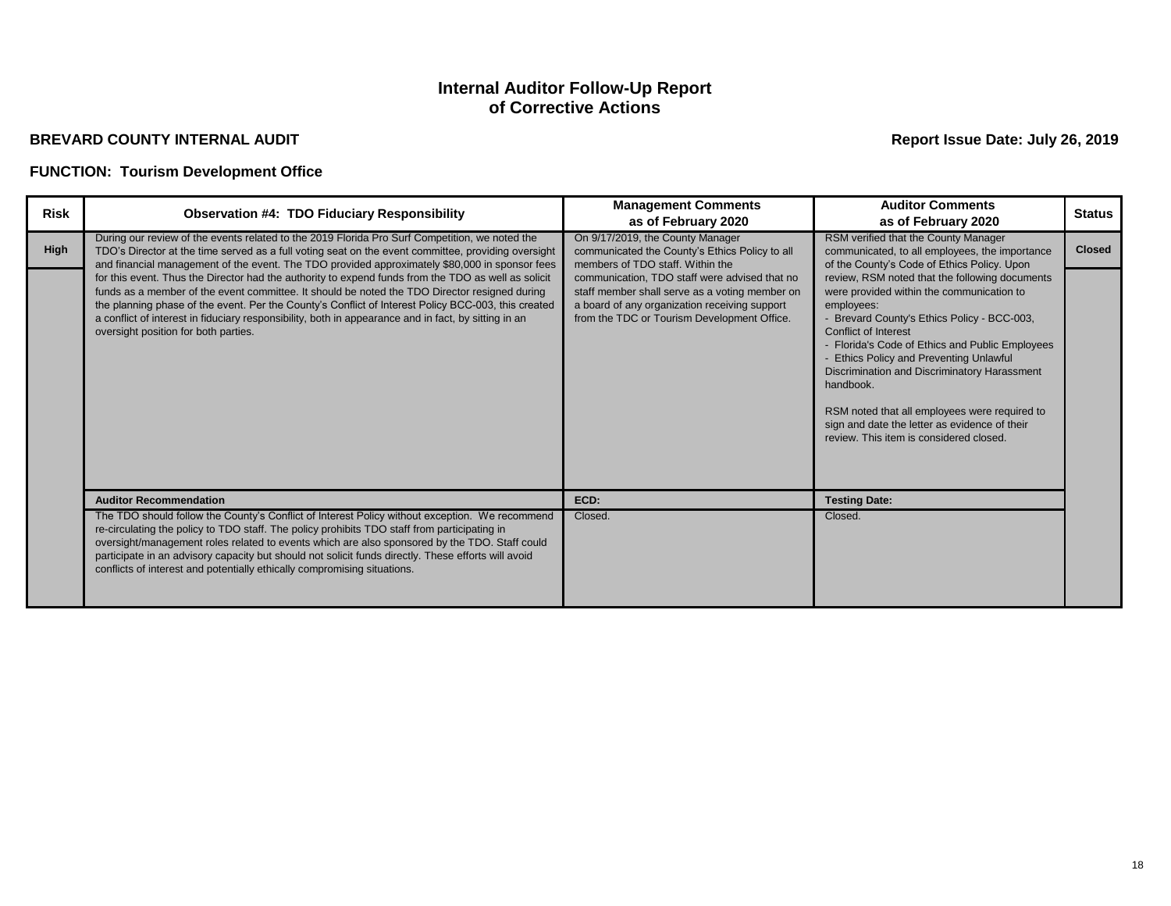# **BREVARD COUNTY INTERNAL AUDIT Report Issue Date: July 26, 2019**

| <b>Risk</b> | <b>Observation #4: TDO Fiduciary Responsibility</b>                                                                                                                                                                                                                                                                                                                                                                                                                                                                                                                                                                                                                                                                                                                    | <b>Management Comments</b><br>as of February 2020                                                                                                                                                                                                                                                                         | <b>Auditor Comments</b><br>as of February 2020                                                                                                                                                                                                                                                                                                                                                                                                                                                                                                                                                                                              | <b>Status</b> |
|-------------|------------------------------------------------------------------------------------------------------------------------------------------------------------------------------------------------------------------------------------------------------------------------------------------------------------------------------------------------------------------------------------------------------------------------------------------------------------------------------------------------------------------------------------------------------------------------------------------------------------------------------------------------------------------------------------------------------------------------------------------------------------------------|---------------------------------------------------------------------------------------------------------------------------------------------------------------------------------------------------------------------------------------------------------------------------------------------------------------------------|---------------------------------------------------------------------------------------------------------------------------------------------------------------------------------------------------------------------------------------------------------------------------------------------------------------------------------------------------------------------------------------------------------------------------------------------------------------------------------------------------------------------------------------------------------------------------------------------------------------------------------------------|---------------|
| High        | During our review of the events related to the 2019 Florida Pro Surf Competition, we noted the<br>TDO's Director at the time served as a full voting seat on the event committee, providing oversight<br>and financial management of the event. The TDO provided approximately \$80,000 in sponsor fees<br>for this event. Thus the Director had the authority to expend funds from the TDO as well as solicit<br>funds as a member of the event committee. It should be noted the TDO Director resigned during<br>the planning phase of the event. Per the County's Conflict of Interest Policy BCC-003, this created<br>a conflict of interest in fiduciary responsibility, both in appearance and in fact, by sitting in an<br>oversight position for both parties. | On 9/17/2019, the County Manager<br>communicated the County's Ethics Policy to all<br>members of TDO staff. Within the<br>communication, TDO staff were advised that no<br>staff member shall serve as a voting member on<br>a board of any organization receiving support<br>from the TDC or Tourism Development Office. | RSM verified that the County Manager<br>communicated, to all employees, the importance<br>of the County's Code of Ethics Policy. Upon<br>review, RSM noted that the following documents<br>were provided within the communication to<br>employees:<br>Brevard County's Ethics Policy - BCC-003,<br><b>Conflict of Interest</b><br>- Florida's Code of Ethics and Public Employees<br><b>Ethics Policy and Preventing Unlawful</b><br>Discrimination and Discriminatory Harassment<br>handbook.<br>RSM noted that all employees were required to<br>sign and date the letter as evidence of their<br>review. This item is considered closed. | <b>Closed</b> |
|             | <b>Auditor Recommendation</b>                                                                                                                                                                                                                                                                                                                                                                                                                                                                                                                                                                                                                                                                                                                                          | ECD:                                                                                                                                                                                                                                                                                                                      | <b>Testing Date:</b>                                                                                                                                                                                                                                                                                                                                                                                                                                                                                                                                                                                                                        |               |
|             | The TDO should follow the County's Conflict of Interest Policy without exception. We recommend<br>re-circulating the policy to TDO staff. The policy prohibits TDO staff from participating in<br>oversight/management roles related to events which are also sponsored by the TDO. Staff could<br>participate in an advisory capacity but should not solicit funds directly. These efforts will avoid<br>conflicts of interest and potentially ethically compromising situations.                                                                                                                                                                                                                                                                                     | Closed.                                                                                                                                                                                                                                                                                                                   | Closed.                                                                                                                                                                                                                                                                                                                                                                                                                                                                                                                                                                                                                                     |               |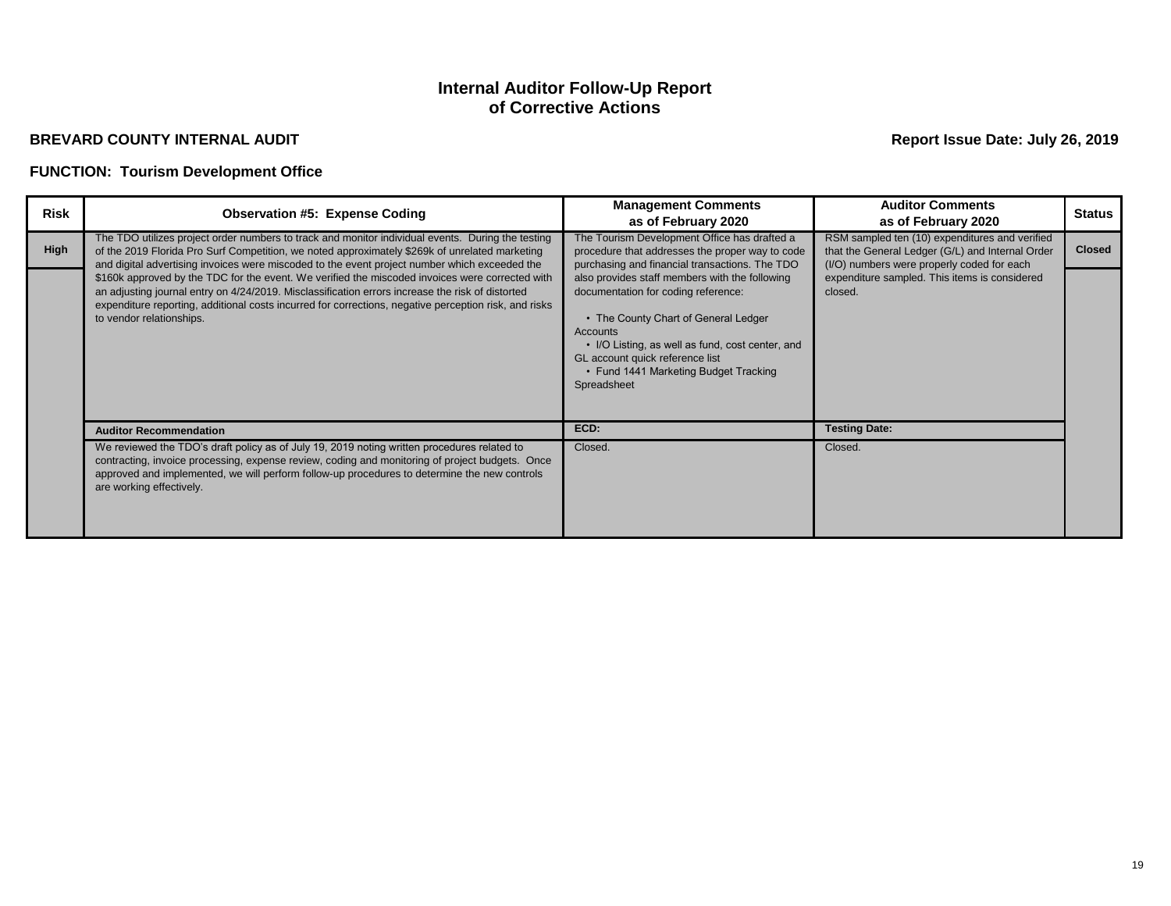# **BREVARD COUNTY INTERNAL AUDIT Report Issue Date: July 26, 2019**

| <b>Risk</b> | <b>Observation #5: Expense Coding</b>                                                                                                                                                                                                                                                                                                                                                                                                                                                                                                                                                                                                            | <b>Management Comments</b><br>as of February 2020                                                                                                                                                                                                                                                                                                                                                                                             | <b>Auditor Comments</b><br>as of February 2020                                                                                                                                                               | <b>Status</b> |
|-------------|--------------------------------------------------------------------------------------------------------------------------------------------------------------------------------------------------------------------------------------------------------------------------------------------------------------------------------------------------------------------------------------------------------------------------------------------------------------------------------------------------------------------------------------------------------------------------------------------------------------------------------------------------|-----------------------------------------------------------------------------------------------------------------------------------------------------------------------------------------------------------------------------------------------------------------------------------------------------------------------------------------------------------------------------------------------------------------------------------------------|--------------------------------------------------------------------------------------------------------------------------------------------------------------------------------------------------------------|---------------|
| <b>High</b> | The TDO utilizes project order numbers to track and monitor individual events. During the testing<br>of the 2019 Florida Pro Surf Competition, we noted approximately \$269k of unrelated marketing<br>and digital advertising invoices were miscoded to the event project number which exceeded the<br>\$160k approved by the TDC for the event. We verified the miscoded invoices were corrected with<br>an adjusting journal entry on 4/24/2019. Misclassification errors increase the risk of distorted<br>expenditure reporting, additional costs incurred for corrections, negative perception risk, and risks<br>to vendor relationships. | The Tourism Development Office has drafted a<br>procedure that addresses the proper way to code<br>purchasing and financial transactions. The TDO<br>also provides staff members with the following<br>documentation for coding reference:<br>• The County Chart of General Ledger<br>Accounts<br>• I/O Listing, as well as fund, cost center, and<br>GL account quick reference list<br>• Fund 1441 Marketing Budget Tracking<br>Spreadsheet | RSM sampled ten (10) expenditures and verified<br>that the General Ledger (G/L) and Internal Order<br>(I/O) numbers were properly coded for each<br>expenditure sampled. This items is considered<br>closed. | <b>Closed</b> |
|             | <b>Auditor Recommendation</b>                                                                                                                                                                                                                                                                                                                                                                                                                                                                                                                                                                                                                    | ECD:                                                                                                                                                                                                                                                                                                                                                                                                                                          | <b>Testing Date:</b>                                                                                                                                                                                         |               |
|             | We reviewed the TDO's draft policy as of July 19, 2019 noting written procedures related to<br>contracting, invoice processing, expense review, coding and monitoring of project budgets. Once<br>approved and implemented, we will perform follow-up procedures to determine the new controls<br>are working effectively.                                                                                                                                                                                                                                                                                                                       | Closed.                                                                                                                                                                                                                                                                                                                                                                                                                                       | Closed.                                                                                                                                                                                                      |               |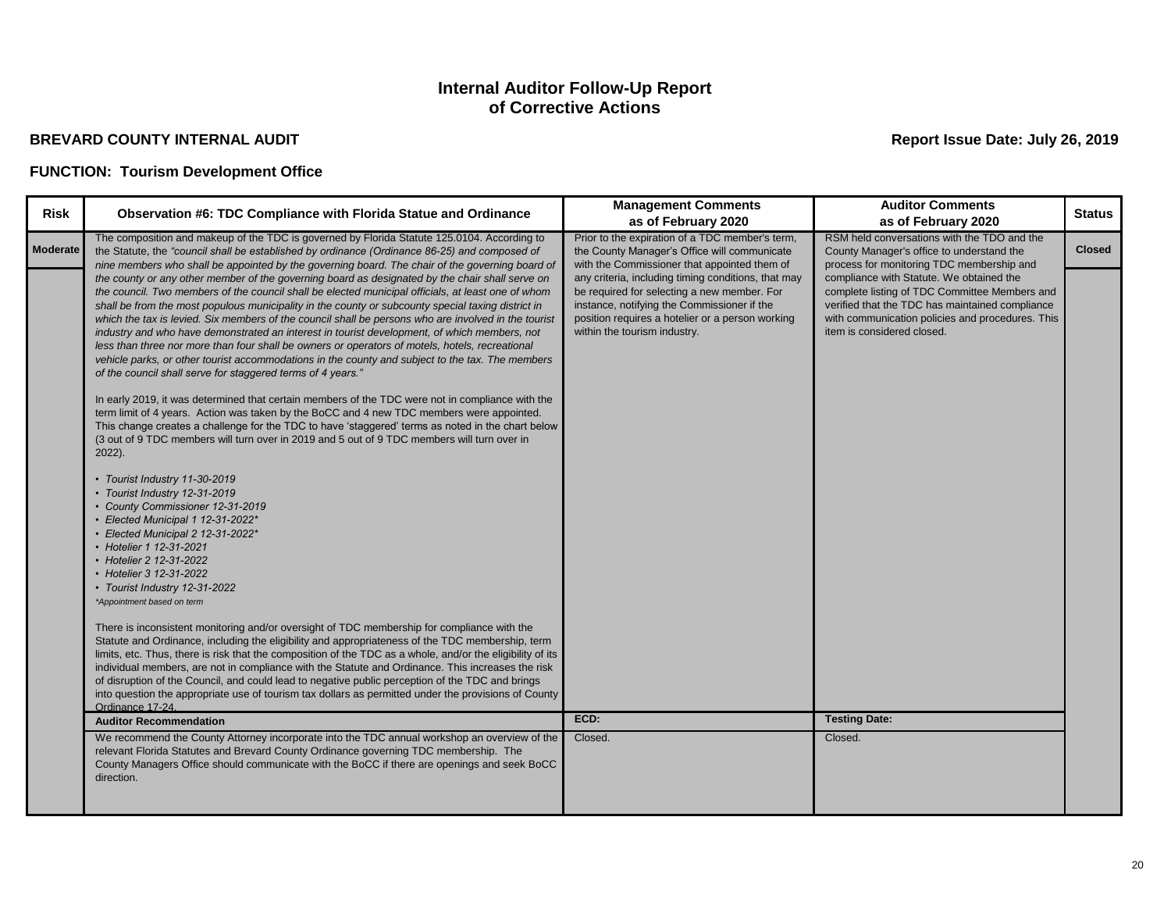# **BREVARD COUNTY INTERNAL AUDIT Report Issue Date: July 26, 2019**

| <b>Risk</b>     | Observation #6: TDC Compliance with Florida Statue and Ordinance                                                                                                                                                                                                                                                                                                                                                                                                                                                                                                                                                                                                                                                                                                                                                                                                                                                                                                                                                                                                                                                                                                                                                                                                                                                                                                                                                                                                                                                                                                                                                                                                                                                                                                                                                                                                                                                                                                                                                                                                                                                                                                       | <b>Management Comments</b><br>as of February 2020                                                                                                                                                                                     | <b>Auditor Comments</b><br>as of February 2020                                                                                                                                                                                 | <b>Status</b> |
|-----------------|------------------------------------------------------------------------------------------------------------------------------------------------------------------------------------------------------------------------------------------------------------------------------------------------------------------------------------------------------------------------------------------------------------------------------------------------------------------------------------------------------------------------------------------------------------------------------------------------------------------------------------------------------------------------------------------------------------------------------------------------------------------------------------------------------------------------------------------------------------------------------------------------------------------------------------------------------------------------------------------------------------------------------------------------------------------------------------------------------------------------------------------------------------------------------------------------------------------------------------------------------------------------------------------------------------------------------------------------------------------------------------------------------------------------------------------------------------------------------------------------------------------------------------------------------------------------------------------------------------------------------------------------------------------------------------------------------------------------------------------------------------------------------------------------------------------------------------------------------------------------------------------------------------------------------------------------------------------------------------------------------------------------------------------------------------------------------------------------------------------------------------------------------------------------|---------------------------------------------------------------------------------------------------------------------------------------------------------------------------------------------------------------------------------------|--------------------------------------------------------------------------------------------------------------------------------------------------------------------------------------------------------------------------------|---------------|
| <b>Moderate</b> | The composition and makeup of the TDC is governed by Florida Statute 125.0104. According to<br>the Statute, the "council shall be established by ordinance (Ordinance 86-25) and composed of<br>nine members who shall be appointed by the governing board. The chair of the governing board of                                                                                                                                                                                                                                                                                                                                                                                                                                                                                                                                                                                                                                                                                                                                                                                                                                                                                                                                                                                                                                                                                                                                                                                                                                                                                                                                                                                                                                                                                                                                                                                                                                                                                                                                                                                                                                                                        | Prior to the expiration of a TDC member's term,<br>the County Manager's Office will communicate<br>with the Commissioner that appointed them of                                                                                       | RSM held conversations with the TDO and the<br>County Manager's office to understand the<br>process for monitoring TDC membership and                                                                                          | <b>Closed</b> |
|                 | the county or any other member of the governing board as designated by the chair shall serve on<br>the council. Two members of the council shall be elected municipal officials, at least one of whom<br>shall be from the most populous municipality in the county or subcounty special taxing district in<br>which the tax is levied. Six members of the council shall be persons who are involved in the tourist<br>industry and who have demonstrated an interest in tourist development, of which members, not<br>less than three nor more than four shall be owners or operators of motels, hotels, recreational<br>vehicle parks, or other tourist accommodations in the county and subject to the tax. The members<br>of the council shall serve for staggered terms of 4 years."<br>In early 2019, it was determined that certain members of the TDC were not in compliance with the<br>term limit of 4 years. Action was taken by the BoCC and 4 new TDC members were appointed.<br>This change creates a challenge for the TDC to have 'staggered' terms as noted in the chart below<br>(3 out of 9 TDC members will turn over in 2019 and 5 out of 9 TDC members will turn over in<br>2022).<br>• Tourist Industry 11-30-2019<br>• Tourist Industry 12-31-2019<br>• County Commissioner 12-31-2019<br>Elected Municipal 1 12-31-2022*<br>Elected Municipal 2 12-31-2022*<br>• Hotelier 1 12-31-2021<br>• Hotelier 2 12-31-2022<br>• Hotelier 3 12-31-2022<br>• Tourist Industry 12-31-2022<br>*Appointment based on term<br>There is inconsistent monitoring and/or oversight of TDC membership for compliance with the<br>Statute and Ordinance, including the eligibility and appropriateness of the TDC membership, term<br>limits, etc. Thus, there is risk that the composition of the TDC as a whole, and/or the eligibility of its<br>individual members, are not in compliance with the Statute and Ordinance. This increases the risk<br>of disruption of the Council, and could lead to negative public perception of the TDC and brings<br>into question the appropriate use of tourism tax dollars as permitted under the provisions of County | any criteria, including timing conditions, that may<br>be required for selecting a new member. For<br>instance, notifying the Commissioner if the<br>position requires a hotelier or a person working<br>within the tourism industry. | compliance with Statute. We obtained the<br>complete listing of TDC Committee Members and<br>verified that the TDC has maintained compliance<br>with communication policies and procedures. This<br>item is considered closed. |               |
|                 | Ordinance 17-24.<br><b>Auditor Recommendation</b>                                                                                                                                                                                                                                                                                                                                                                                                                                                                                                                                                                                                                                                                                                                                                                                                                                                                                                                                                                                                                                                                                                                                                                                                                                                                                                                                                                                                                                                                                                                                                                                                                                                                                                                                                                                                                                                                                                                                                                                                                                                                                                                      | ECD:                                                                                                                                                                                                                                  | <b>Testing Date:</b>                                                                                                                                                                                                           |               |
|                 | We recommend the County Attorney incorporate into the TDC annual workshop an overview of the                                                                                                                                                                                                                                                                                                                                                                                                                                                                                                                                                                                                                                                                                                                                                                                                                                                                                                                                                                                                                                                                                                                                                                                                                                                                                                                                                                                                                                                                                                                                                                                                                                                                                                                                                                                                                                                                                                                                                                                                                                                                           | Closed.                                                                                                                                                                                                                               | Closed.                                                                                                                                                                                                                        |               |
|                 | relevant Florida Statutes and Brevard County Ordinance governing TDC membership. The<br>County Managers Office should communicate with the BoCC if there are openings and seek BoCC<br>direction.                                                                                                                                                                                                                                                                                                                                                                                                                                                                                                                                                                                                                                                                                                                                                                                                                                                                                                                                                                                                                                                                                                                                                                                                                                                                                                                                                                                                                                                                                                                                                                                                                                                                                                                                                                                                                                                                                                                                                                      |                                                                                                                                                                                                                                       |                                                                                                                                                                                                                                |               |
|                 |                                                                                                                                                                                                                                                                                                                                                                                                                                                                                                                                                                                                                                                                                                                                                                                                                                                                                                                                                                                                                                                                                                                                                                                                                                                                                                                                                                                                                                                                                                                                                                                                                                                                                                                                                                                                                                                                                                                                                                                                                                                                                                                                                                        |                                                                                                                                                                                                                                       |                                                                                                                                                                                                                                |               |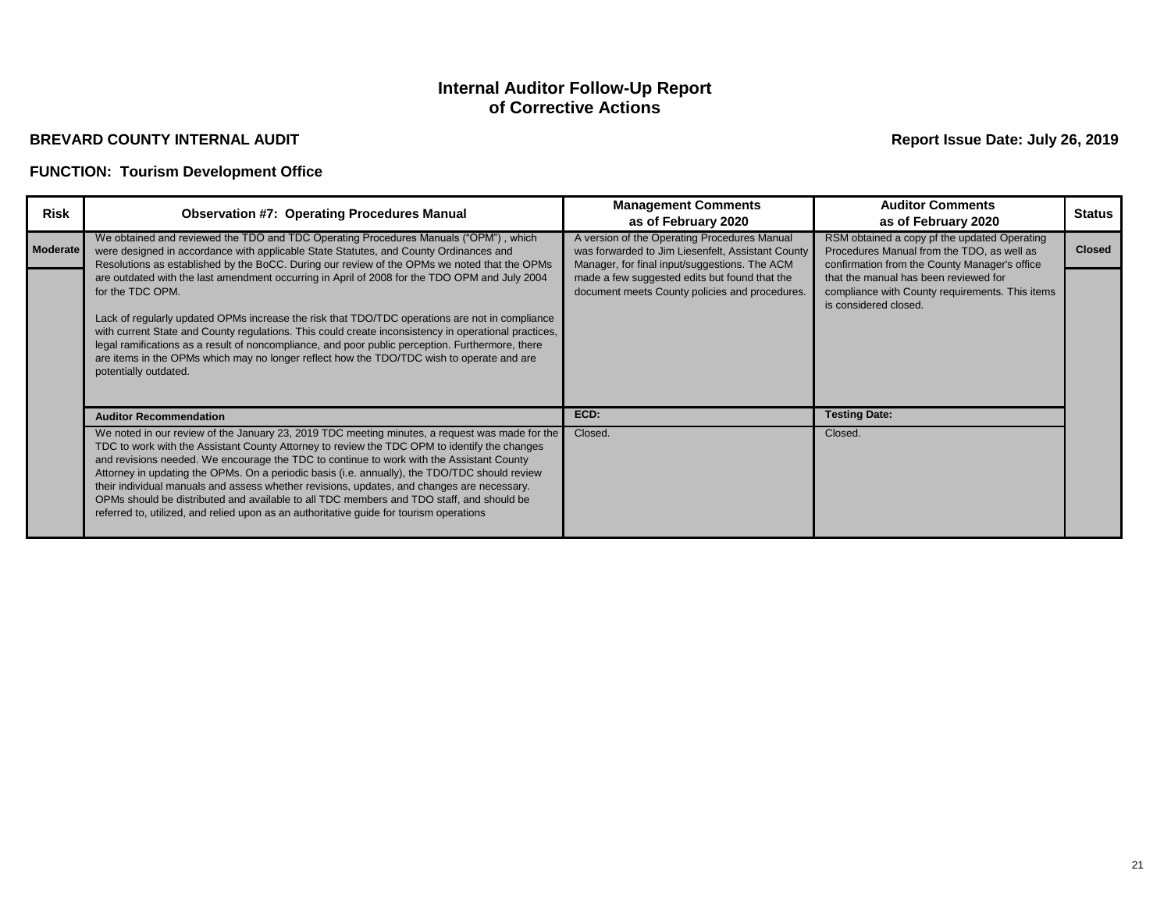# **BREVARD COUNTY INTERNAL AUDIT Report Issue Date: July 26, 2019**

| <b>Risk</b> | <b>Observation #7: Operating Procedures Manual</b>                                                                                                                                                                                                                                                                                                                                                                                                                                                                                                                                                                                                                                                                                                                                                                                     | <b>Management Comments</b><br>as of February 2020                                                                                                                                                                                                     | <b>Auditor Comments</b><br>as of February 2020                                                                                                                                                                                                                   | <b>Status</b> |
|-------------|----------------------------------------------------------------------------------------------------------------------------------------------------------------------------------------------------------------------------------------------------------------------------------------------------------------------------------------------------------------------------------------------------------------------------------------------------------------------------------------------------------------------------------------------------------------------------------------------------------------------------------------------------------------------------------------------------------------------------------------------------------------------------------------------------------------------------------------|-------------------------------------------------------------------------------------------------------------------------------------------------------------------------------------------------------------------------------------------------------|------------------------------------------------------------------------------------------------------------------------------------------------------------------------------------------------------------------------------------------------------------------|---------------|
| Moderate    | We obtained and reviewed the TDO and TDC Operating Procedures Manuals ("OPM"), which<br>were designed in accordance with applicable State Statutes, and County Ordinances and<br>Resolutions as established by the BoCC. During our review of the OPMs we noted that the OPMs<br>are outdated with the last amendment occurring in April of 2008 for the TDO OPM and July 2004<br>for the TDC OPM.<br>Lack of regularly updated OPMs increase the risk that TDO/TDC operations are not in compliance<br>with current State and County regulations. This could create inconsistency in operational practices,<br>legal ramifications as a result of noncompliance, and poor public perception. Furthermore, there<br>are items in the OPMs which may no longer reflect how the TDO/TDC wish to operate and are<br>potentially outdated. | A version of the Operating Procedures Manual<br>was forwarded to Jim Liesenfelt, Assistant County<br>Manager, for final input/suggestions. The ACM<br>made a few suggested edits but found that the<br>document meets County policies and procedures. | RSM obtained a copy pf the updated Operating<br>Procedures Manual from the TDO, as well as<br>confirmation from the County Manager's office<br>that the manual has been reviewed for<br>compliance with County requirements. This items<br>is considered closed. | <b>Closed</b> |
|             | <b>Auditor Recommendation</b>                                                                                                                                                                                                                                                                                                                                                                                                                                                                                                                                                                                                                                                                                                                                                                                                          | ECD:                                                                                                                                                                                                                                                  | <b>Testing Date:</b>                                                                                                                                                                                                                                             |               |
|             | We noted in our review of the January 23, 2019 TDC meeting minutes, a request was made for the<br>TDC to work with the Assistant County Attorney to review the TDC OPM to identify the changes<br>and revisions needed. We encourage the TDC to continue to work with the Assistant County<br>Attorney in updating the OPMs. On a periodic basis (i.e. annually), the TDO/TDC should review<br>their individual manuals and assess whether revisions, updates, and changes are necessary.<br>OPMs should be distributed and available to all TDC members and TDO staff, and should be<br>referred to, utilized, and relied upon as an authoritative guide for tourism operations                                                                                                                                                       | Closed.                                                                                                                                                                                                                                               | Closed.                                                                                                                                                                                                                                                          |               |